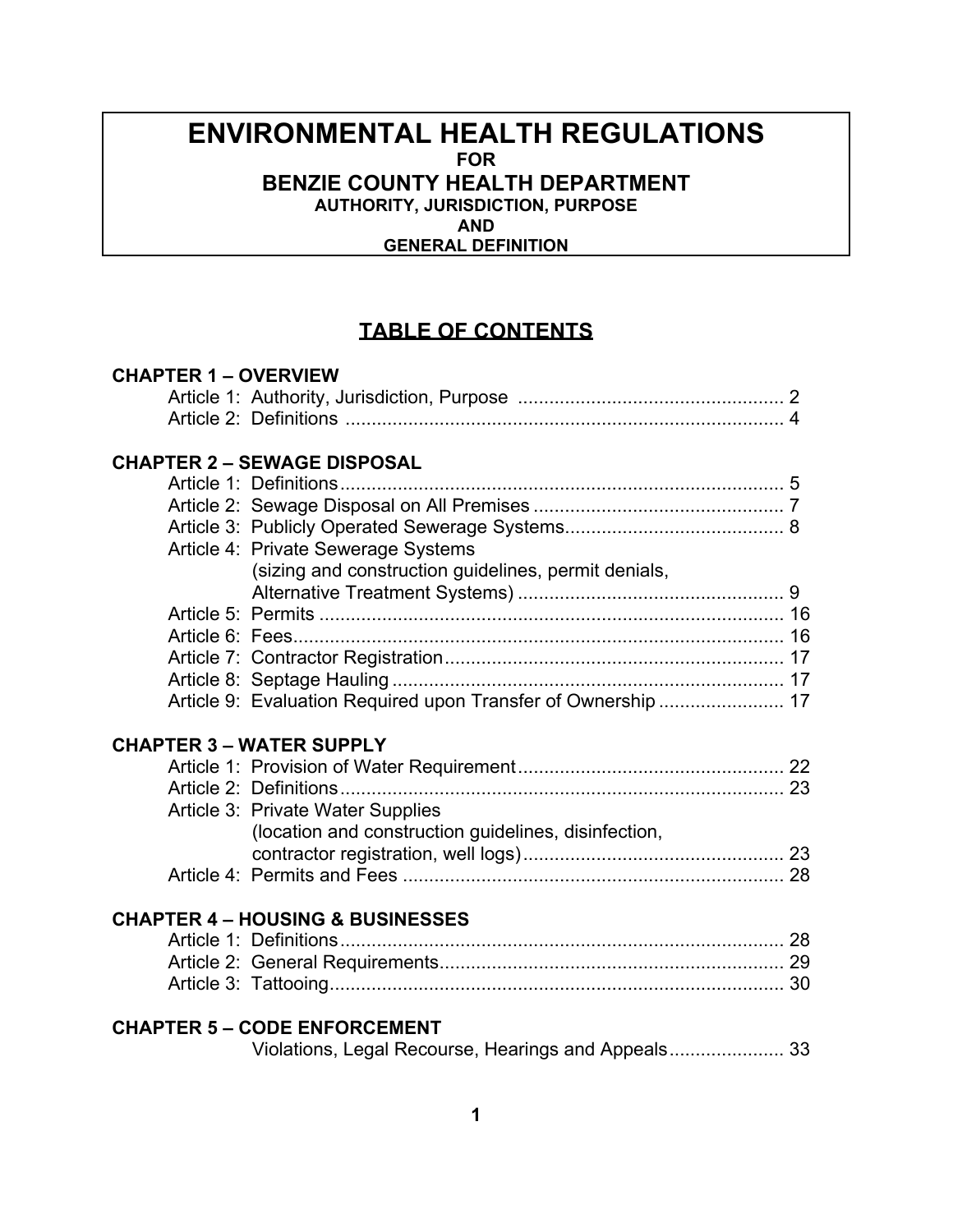# **ENVIRONMENTAL HEALTH REGULATIONS FOR BENZIE COUNTY HEALTH DEPARTMENT AUTHORITY, JURISDICTION, PURPOSE**  *AND*

 **GENERAL DEFINITION**

# **TABLE OF CONTENTS**

| <b>CHAPTER 1 - OVERVIEW</b>                 |                                                               |  |  |  |  |  |
|---------------------------------------------|---------------------------------------------------------------|--|--|--|--|--|
|                                             |                                                               |  |  |  |  |  |
|                                             |                                                               |  |  |  |  |  |
| <b>CHAPTER 2 - SEWAGE DISPOSAL</b>          |                                                               |  |  |  |  |  |
|                                             |                                                               |  |  |  |  |  |
|                                             |                                                               |  |  |  |  |  |
|                                             |                                                               |  |  |  |  |  |
|                                             | Article 4: Private Sewerage Systems                           |  |  |  |  |  |
|                                             | (sizing and construction guidelines, permit denials,          |  |  |  |  |  |
|                                             |                                                               |  |  |  |  |  |
|                                             |                                                               |  |  |  |  |  |
|                                             |                                                               |  |  |  |  |  |
|                                             |                                                               |  |  |  |  |  |
|                                             |                                                               |  |  |  |  |  |
|                                             | Article 9: Evaluation Required upon Transfer of Ownership  17 |  |  |  |  |  |
|                                             | <b>CHAPTER 3 - WATER SUPPLY</b>                               |  |  |  |  |  |
|                                             |                                                               |  |  |  |  |  |
|                                             |                                                               |  |  |  |  |  |
|                                             | Article 3: Private Water Supplies                             |  |  |  |  |  |
|                                             | (location and construction guidelines, disinfection,          |  |  |  |  |  |
|                                             |                                                               |  |  |  |  |  |
|                                             |                                                               |  |  |  |  |  |
| <b>CHAPTER 4 - HOUSING &amp; BUSINESSES</b> |                                                               |  |  |  |  |  |
|                                             |                                                               |  |  |  |  |  |
|                                             |                                                               |  |  |  |  |  |
|                                             |                                                               |  |  |  |  |  |
| <b>CHAPTER 5 - CODE ENFORCEMENT</b>         |                                                               |  |  |  |  |  |
|                                             |                                                               |  |  |  |  |  |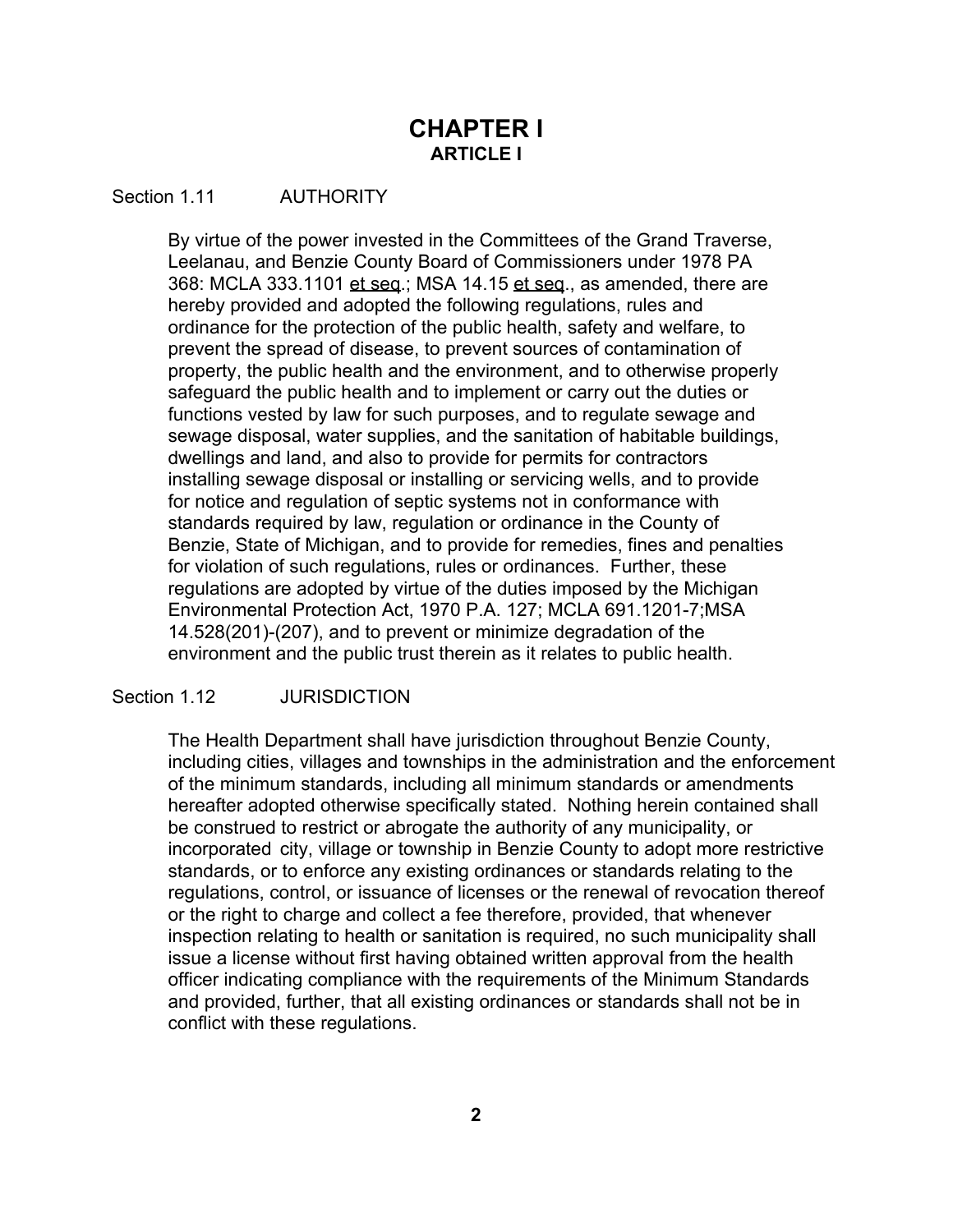# **CHAPTER I ARTICLE I**

# Section 1.11 **AUTHORITY**

By virtue of the power invested in the Committees of the Grand Traverse, Leelanau, and Benzie County Board of Commissioners under 1978 PA 368: MCLA 333.1101 et seq.; MSA 14.15 et seq., as amended, there are hereby provided and adopted the following regulations, rules and ordinance for the protection of the public health, safety and welfare, to prevent the spread of disease, to prevent sources of contamination of property, the public health and the environment, and to otherwise properly safeguard the public health and to implement or carry out the duties or functions vested by law for such purposes, and to regulate sewage and sewage disposal, water supplies, and the sanitation of habitable buildings, dwellings and land, and also to provide for permits for contractors installing sewage disposal or installing or servicing wells, and to provide for notice and regulation of septic systems not in conformance with standards required by law, regulation or ordinance in the County of Benzie, State of Michigan, and to provide for remedies, fines and penalties for violation of such regulations, rules or ordinances. Further, these regulations are adopted by virtue of the duties imposed by the Michigan Environmental Protection Act, 1970 P.A. 127; MCLA 691.1201-7;MSA 14.528(201)-(207), and to prevent or minimize degradation of the environment and the public trust therein as it relates to public health.

# Section 1.12 **JURISDICTION**

The Health Department shall have jurisdiction throughout Benzie County, including cities, villages and townships in the administration and the enforcement of the minimum standards, including all minimum standards or amendments hereafter adopted otherwise specifically stated. Nothing herein contained shall be construed to restrict or abrogate the authority of any municipality, or incorporated city, village or township in Benzie County to adopt more restrictive standards, or to enforce any existing ordinances or standards relating to the regulations, control, or issuance of licenses or the renewal of revocation thereof or the right to charge and collect a fee therefore, provided, that whenever inspection relating to health or sanitation is required, no such municipality shall issue a license without first having obtained written approval from the health officer indicating compliance with the requirements of the Minimum Standards and provided, further, that all existing ordinances or standards shall not be in conflict with these regulations.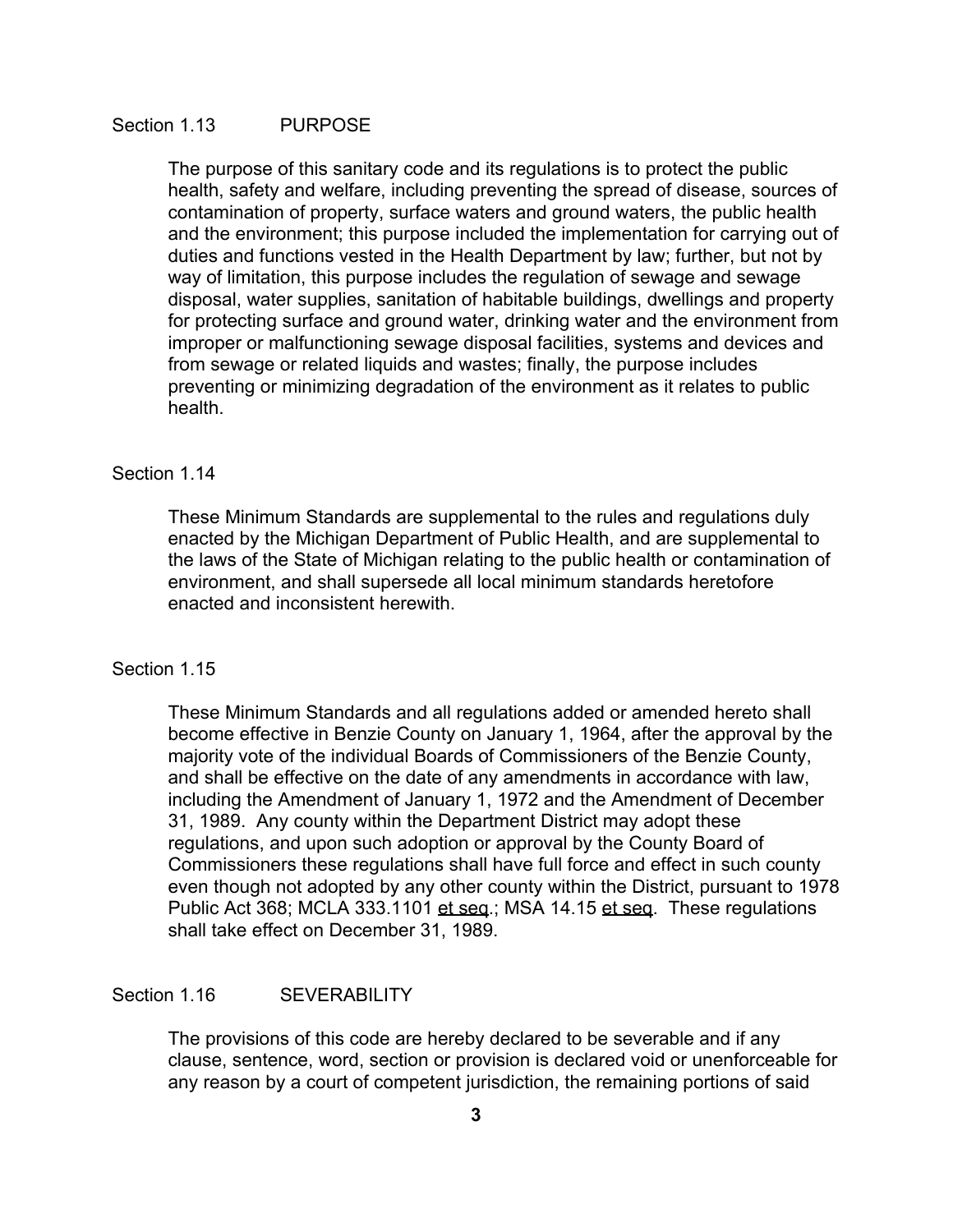# Section 1.13 PURPOSE

The purpose of this sanitary code and its regulations is to protect the public health, safety and welfare, including preventing the spread of disease, sources of contamination of property, surface waters and ground waters, the public health and the environment; this purpose included the implementation for carrying out of duties and functions vested in the Health Department by law; further, but not by way of limitation, this purpose includes the regulation of sewage and sewage disposal, water supplies, sanitation of habitable buildings, dwellings and property for protecting surface and ground water, drinking water and the environment from improper or malfunctioning sewage disposal facilities, systems and devices and from sewage or related liquids and wastes; finally, the purpose includes preventing or minimizing degradation of the environment as it relates to public health.

#### Section 1.14

These Minimum Standards are supplemental to the rules and regulations duly enacted by the Michigan Department of Public Health, and are supplemental to the laws of the State of Michigan relating to the public health or contamination of environment, and shall supersede all local minimum standards heretofore enacted and inconsistent herewith.

### Section 1.15

These Minimum Standards and all regulations added or amended hereto shall become effective in Benzie County on January 1, 1964, after the approval by the majority vote of the individual Boards of Commissioners of the Benzie County, and shall be effective on the date of any amendments in accordance with law, including the Amendment of January 1, 1972 and the Amendment of December 31, 1989. Any county within the Department District may adopt these regulations, and upon such adoption or approval by the County Board of Commissioners these regulations shall have full force and effect in such county even though not adopted by any other county within the District, pursuant to 1978 Public Act 368; MCLA 333.1101 et seq.; MSA 14.15 et seq. These regulations shall take effect on December 31, 1989.

# Section 1.16 SEVERABILITY

The provisions of this code are hereby declared to be severable and if any clause, sentence, word, section or provision is declared void or unenforceable for any reason by a court of competent jurisdiction, the remaining portions of said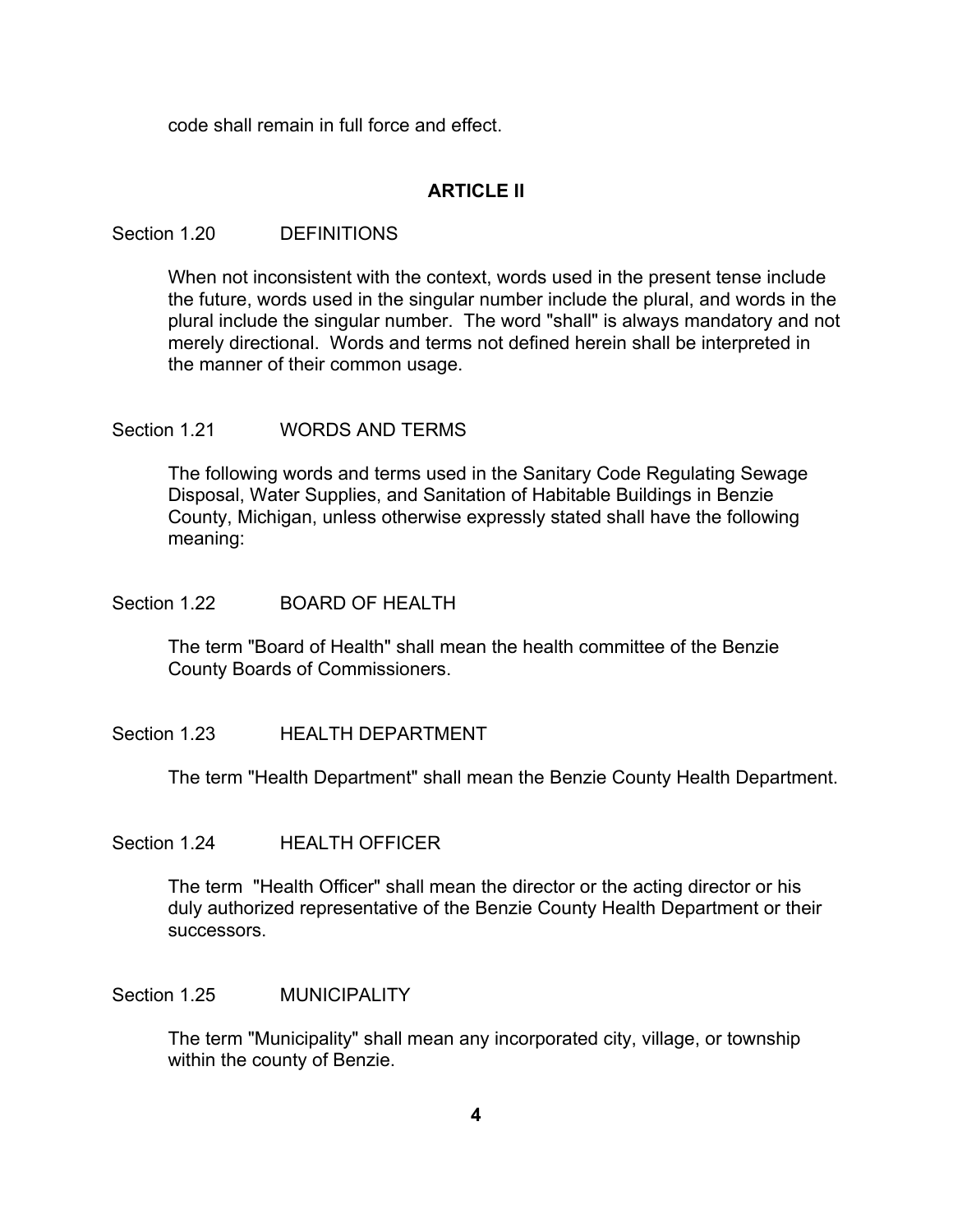code shall remain in full force and effect.

# **ARTICLE II**

# Section 1.20 DEFINITIONS

When not inconsistent with the context, words used in the present tense include the future, words used in the singular number include the plural, and words in the plural include the singular number. The word "shall" is always mandatory and not merely directional. Words and terms not defined herein shall be interpreted in the manner of their common usage.

# Section 1.21 WORDS AND TERMS

The following words and terms used in the Sanitary Code Regulating Sewage Disposal, Water Supplies, and Sanitation of Habitable Buildings in Benzie County, Michigan, unless otherwise expressly stated shall have the following meaning:

# Section 1.22 BOARD OF HEALTH

The term "Board of Health" shall mean the health committee of the Benzie County Boards of Commissioners.

# Section 1.23 **HEALTH DEPARTMENT**

The term "Health Department" shall mean the Benzie County Health Department.

# Section 1.24 HEALTH OFFICER

The term "Health Officer" shall mean the director or the acting director or his duly authorized representative of the Benzie County Health Department or their successors.

# Section 1.25 MUNICIPALITY

The term "Municipality" shall mean any incorporated city, village, or township within the county of Benzie.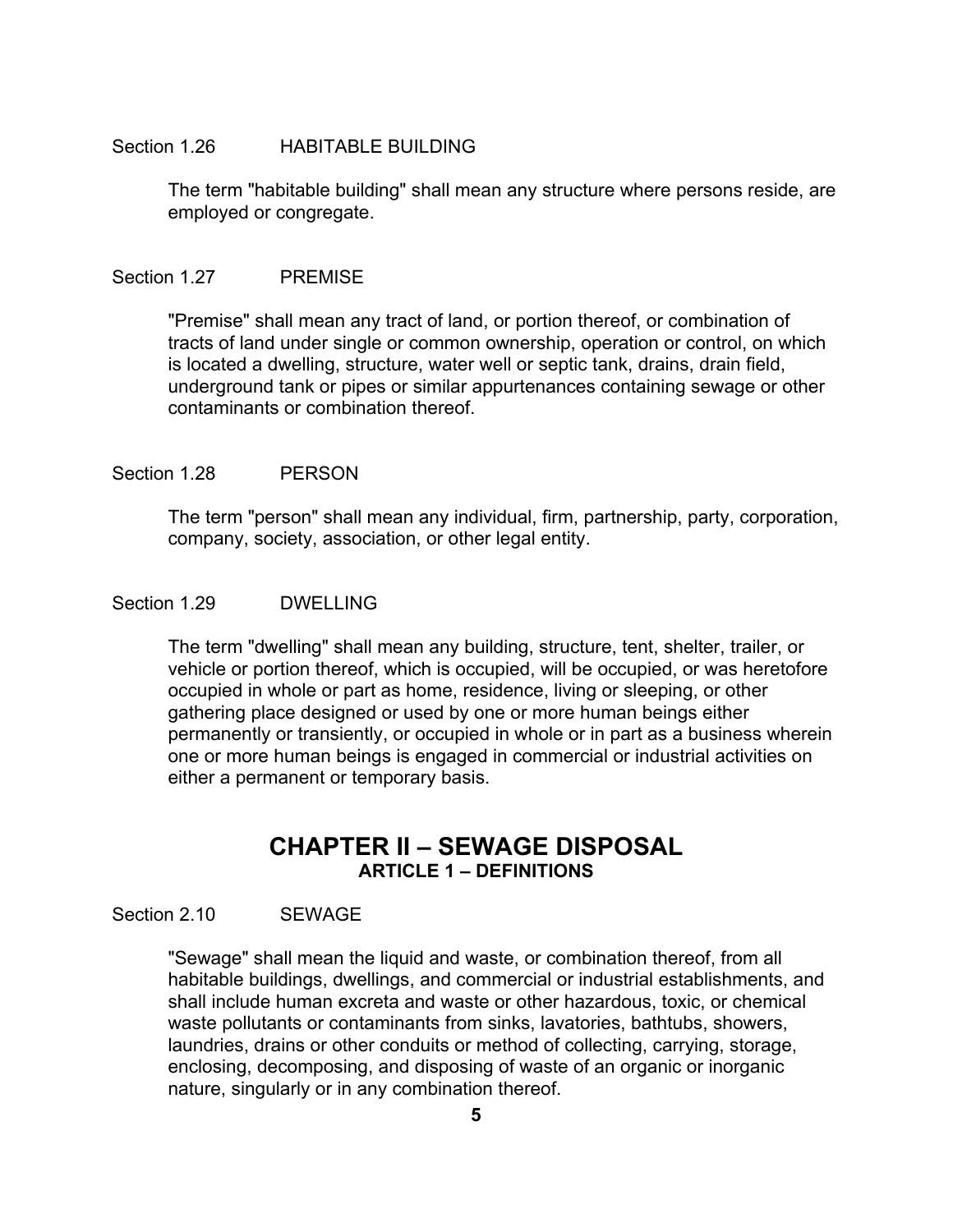#### Section 1.26 HABITABLE BUILDING

The term "habitable building" shall mean any structure where persons reside, are employed or congregate.

#### Section 1.27 PREMISE

"Premise" shall mean any tract of land, or portion thereof, or combination of tracts of land under single or common ownership, operation or control, on which is located a dwelling, structure, water well or septic tank, drains, drain field, underground tank or pipes or similar appurtenances containing sewage or other contaminants or combination thereof.

### Section 1.28 PERSON

The term "person" shall mean any individual, firm, partnership, party, corporation, company, society, association, or other legal entity.

### Section 1.29 DWELLING

The term "dwelling" shall mean any building, structure, tent, shelter, trailer, or vehicle or portion thereof, which is occupied, will be occupied, or was heretofore occupied in whole or part as home, residence, living or sleeping, or other gathering place designed or used by one or more human beings either permanently or transiently, or occupied in whole or in part as a business wherein one or more human beings is engaged in commercial or industrial activities on either a permanent or temporary basis.

# **CHAPTER II – SEWAGE DISPOSAL ARTICLE 1 – DEFINITIONS**

# Section 2.10 SEWAGE

"Sewage" shall mean the liquid and waste, or combination thereof, from all habitable buildings, dwellings, and commercial or industrial establishments, and shall include human excreta and waste or other hazardous, toxic, or chemical waste pollutants or contaminants from sinks, lavatories, bathtubs, showers, laundries, drains or other conduits or method of collecting, carrying, storage, enclosing, decomposing, and disposing of waste of an organic or inorganic nature, singularly or in any combination thereof.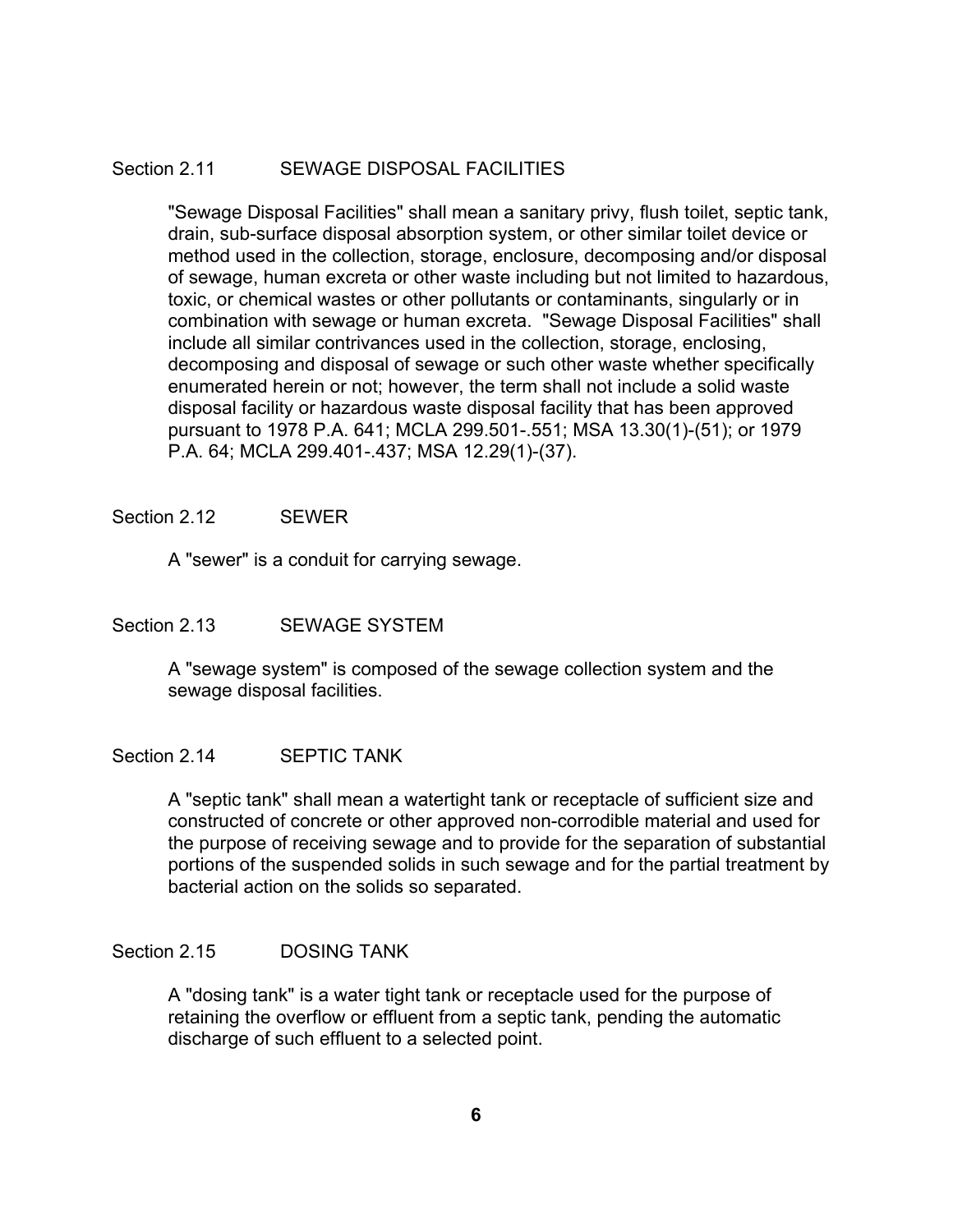# Section 2.11 SEWAGE DISPOSAL FACILITIES

"Sewage Disposal Facilities" shall mean a sanitary privy, flush toilet, septic tank, drain, sub-surface disposal absorption system, or other similar toilet device or method used in the collection, storage, enclosure, decomposing and/or disposal of sewage, human excreta or other waste including but not limited to hazardous, toxic, or chemical wastes or other pollutants or contaminants, singularly or in combination with sewage or human excreta. "Sewage Disposal Facilities" shall include all similar contrivances used in the collection, storage, enclosing, decomposing and disposal of sewage or such other waste whether specifically enumerated herein or not; however, the term shall not include a solid waste disposal facility or hazardous waste disposal facility that has been approved pursuant to 1978 P.A. 641; MCLA 299.501-.551; MSA 13.30(1)-(51); or 1979 P.A. 64; MCLA 299.401-.437; MSA 12.29(1)-(37).

### Section 2.12 SEWER

A "sewer" is a conduit for carrying sewage.

# Section 2.13 SEWAGE SYSTEM

A "sewage system" is composed of the sewage collection system and the sewage disposal facilities.

# Section 2.14 SEPTIC TANK

A "septic tank" shall mean a watertight tank or receptacle of sufficient size and constructed of concrete or other approved non-corrodible material and used for the purpose of receiving sewage and to provide for the separation of substantial portions of the suspended solids in such sewage and for the partial treatment by bacterial action on the solids so separated.

# Section 2.15 DOSING TANK

A "dosing tank" is a water tight tank or receptacle used for the purpose of retaining the overflow or effluent from a septic tank, pending the automatic discharge of such effluent to a selected point.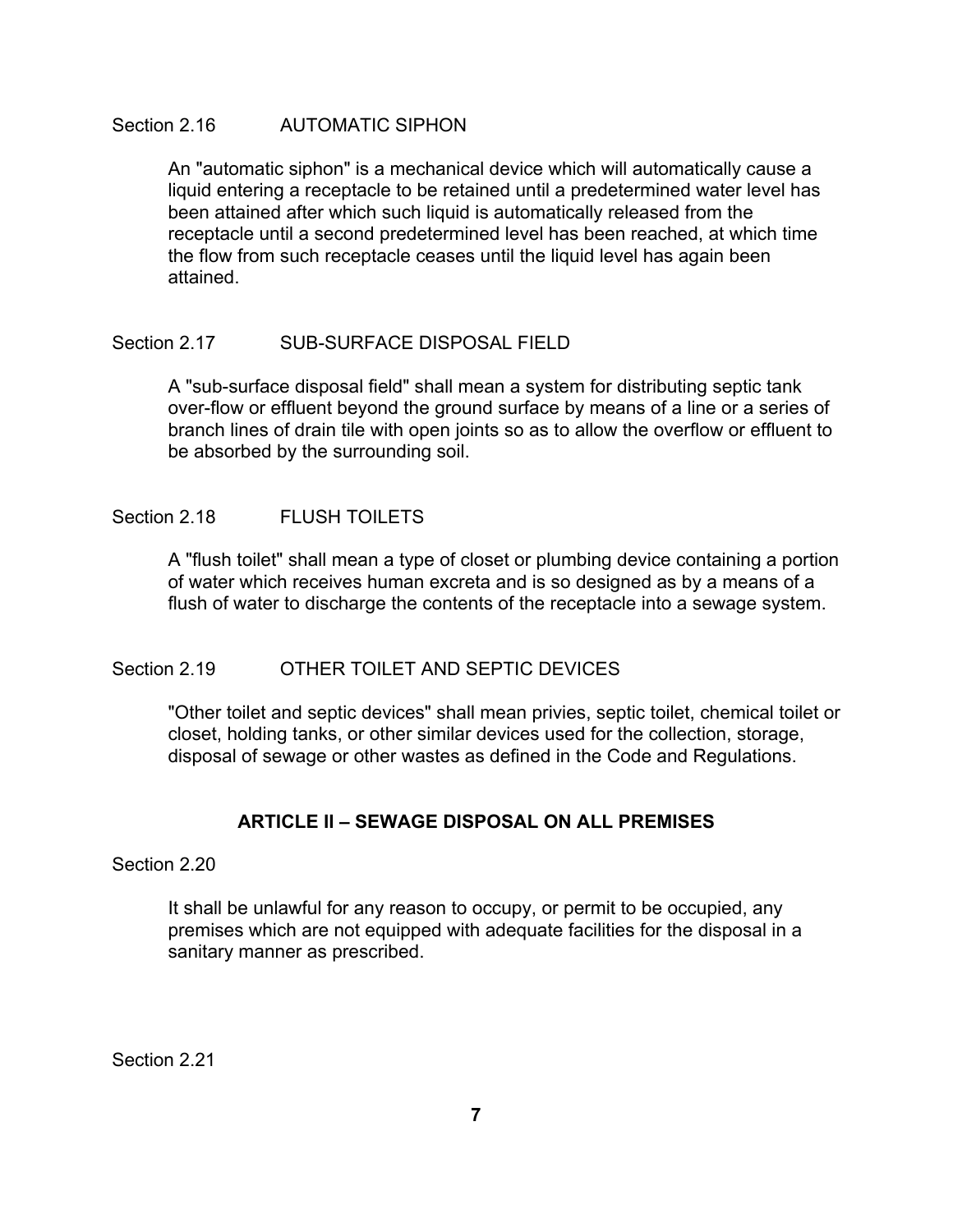# Section 2.16 **AUTOMATIC SIPHON**

An "automatic siphon" is a mechanical device which will automatically cause a liquid entering a receptacle to be retained until a predetermined water level has been attained after which such liquid is automatically released from the receptacle until a second predetermined level has been reached, at which time the flow from such receptacle ceases until the liquid level has again been attained.

# Section 2.17 SUB-SURFACE DISPOSAL FIELD

A "sub-surface disposal field" shall mean a system for distributing septic tank over-flow or effluent beyond the ground surface by means of a line or a series of branch lines of drain tile with open joints so as to allow the overflow or effluent to be absorbed by the surrounding soil.

# Section 2.18 FLUSH TOILETS

A "flush toilet" shall mean a type of closet or plumbing device containing a portion of water which receives human excreta and is so designed as by a means of a flush of water to discharge the contents of the receptacle into a sewage system.

# Section 2.19 OTHER TOILET AND SEPTIC DEVICES

"Other toilet and septic devices" shall mean privies, septic toilet, chemical toilet or closet, holding tanks, or other similar devices used for the collection, storage, disposal of sewage or other wastes as defined in the Code and Regulations.

# **ARTICLE II – SEWAGE DISPOSAL ON ALL PREMISES**

Section 2.20

It shall be unlawful for any reason to occupy, or permit to be occupied, any premises which are not equipped with adequate facilities for the disposal in a sanitary manner as prescribed.

Section 2.21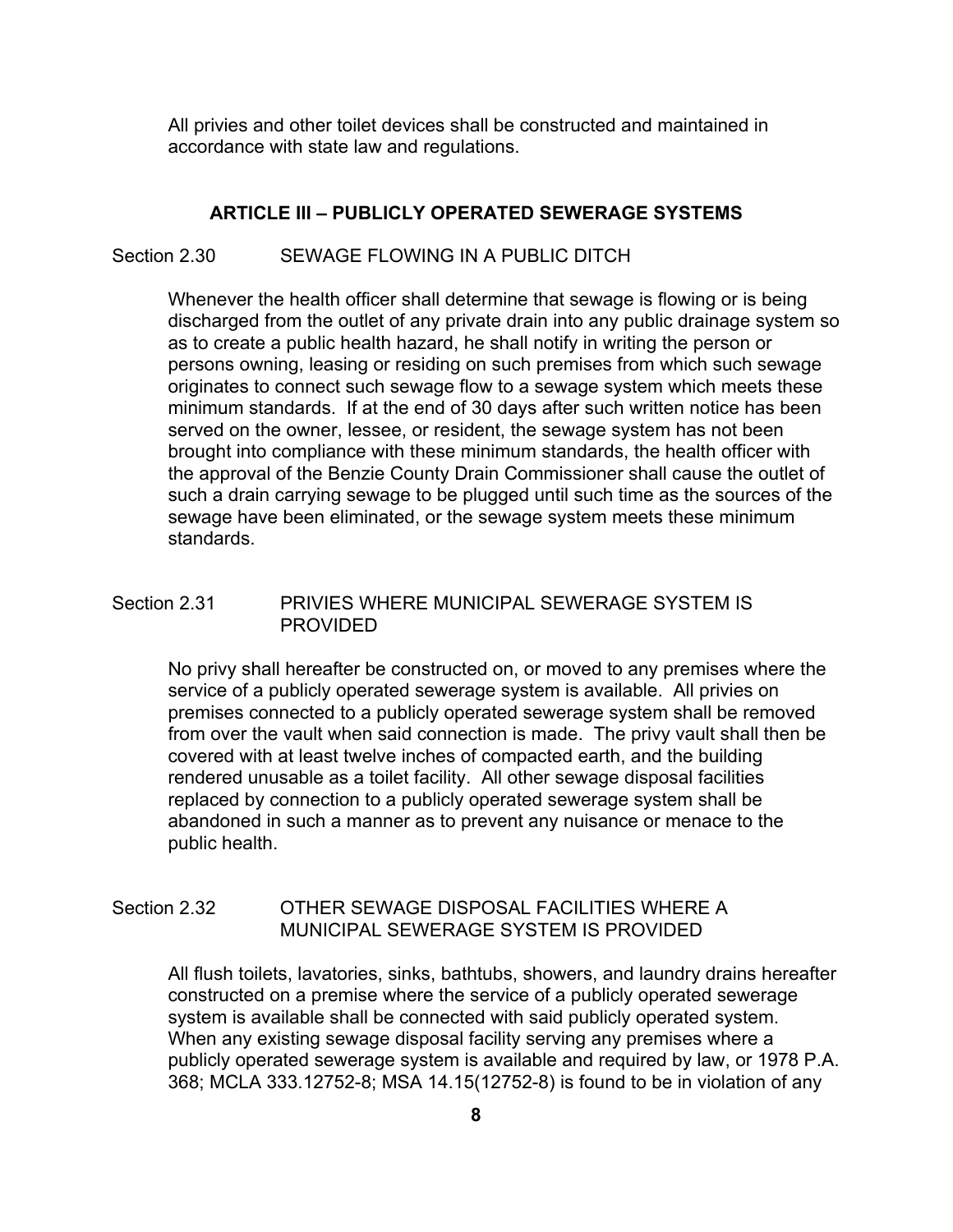All privies and other toilet devices shall be constructed and maintained in accordance with state law and regulations.

### **ARTICLE III – PUBLICLY OPERATED SEWERAGE SYSTEMS**

#### Section 2.30 SEWAGE FLOWING IN A PUBLIC DITCH

Whenever the health officer shall determine that sewage is flowing or is being discharged from the outlet of any private drain into any public drainage system so as to create a public health hazard, he shall notify in writing the person or persons owning, leasing or residing on such premises from which such sewage originates to connect such sewage flow to a sewage system which meets these minimum standards. If at the end of 30 days after such written notice has been served on the owner, lessee, or resident, the sewage system has not been brought into compliance with these minimum standards, the health officer with the approval of the Benzie County Drain Commissioner shall cause the outlet of such a drain carrying sewage to be plugged until such time as the sources of the sewage have been eliminated, or the sewage system meets these minimum standards.

# Section 2.31 PRIVIES WHERE MUNICIPAL SEWERAGE SYSTEM IS PROVIDED

No privy shall hereafter be constructed on, or moved to any premises where the service of a publicly operated sewerage system is available. All privies on premises connected to a publicly operated sewerage system shall be removed from over the vault when said connection is made. The privy vault shall then be covered with at least twelve inches of compacted earth, and the building rendered unusable as a toilet facility. All other sewage disposal facilities replaced by connection to a publicly operated sewerage system shall be abandoned in such a manner as to prevent any nuisance or menace to the public health.

# Section 2.32 OTHER SEWAGE DISPOSAL FACILITIES WHERE A MUNICIPAL SEWERAGE SYSTEM IS PROVIDED

All flush toilets, lavatories, sinks, bathtubs, showers, and laundry drains hereafter constructed on a premise where the service of a publicly operated sewerage system is available shall be connected with said publicly operated system. When any existing sewage disposal facility serving any premises where a publicly operated sewerage system is available and required by law, or 1978 P.A. 368; MCLA 333.12752-8; MSA 14.15(12752-8) is found to be in violation of any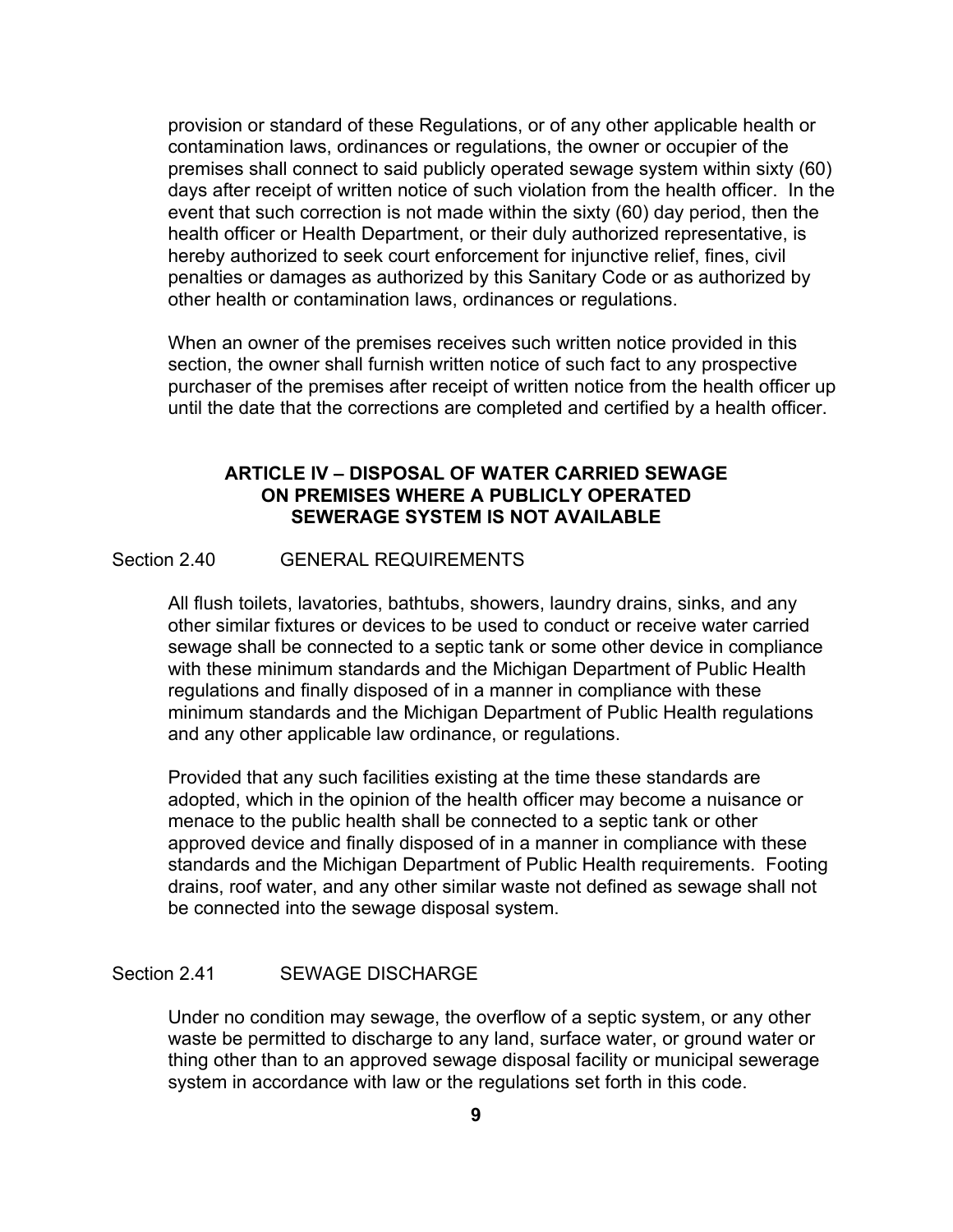provision or standard of these Regulations, or of any other applicable health or contamination laws, ordinances or regulations, the owner or occupier of the premises shall connect to said publicly operated sewage system within sixty (60) days after receipt of written notice of such violation from the health officer. In the event that such correction is not made within the sixty (60) day period, then the health officer or Health Department, or their duly authorized representative, is hereby authorized to seek court enforcement for injunctive relief, fines, civil penalties or damages as authorized by this Sanitary Code or as authorized by other health or contamination laws, ordinances or regulations.

When an owner of the premises receives such written notice provided in this section, the owner shall furnish written notice of such fact to any prospective purchaser of the premises after receipt of written notice from the health officer up until the date that the corrections are completed and certified by a health officer.

# **ARTICLE IV – DISPOSAL OF WATER CARRIED SEWAGE ON PREMISES WHERE A PUBLICLY OPERATED SEWERAGE SYSTEM IS NOT AVAILABLE**

# Section 2.40 GENERAL REQUIREMENTS

All flush toilets, lavatories, bathtubs, showers, laundry drains, sinks, and any other similar fixtures or devices to be used to conduct or receive water carried sewage shall be connected to a septic tank or some other device in compliance with these minimum standards and the Michigan Department of Public Health regulations and finally disposed of in a manner in compliance with these minimum standards and the Michigan Department of Public Health regulations and any other applicable law ordinance, or regulations.

Provided that any such facilities existing at the time these standards are adopted, which in the opinion of the health officer may become a nuisance or menace to the public health shall be connected to a septic tank or other approved device and finally disposed of in a manner in compliance with these standards and the Michigan Department of Public Health requirements. Footing drains, roof water, and any other similar waste not defined as sewage shall not be connected into the sewage disposal system.

# Section 2.41 SEWAGE DISCHARGE

Under no condition may sewage, the overflow of a septic system, or any other waste be permitted to discharge to any land, surface water, or ground water or thing other than to an approved sewage disposal facility or municipal sewerage system in accordance with law or the regulations set forth in this code.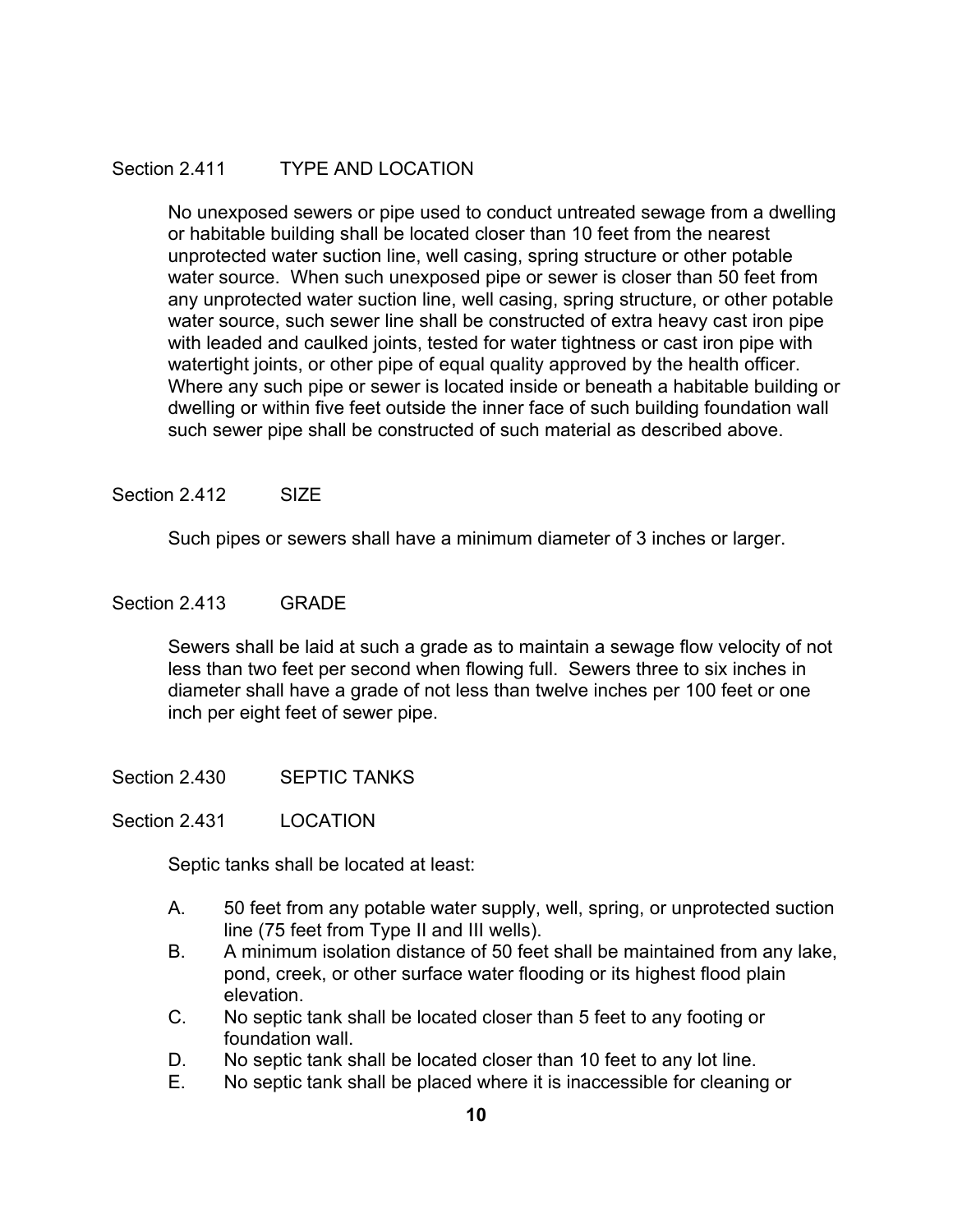# Section 2.411 TYPE AND LOCATION

No unexposed sewers or pipe used to conduct untreated sewage from a dwelling or habitable building shall be located closer than 10 feet from the nearest unprotected water suction line, well casing, spring structure or other potable water source. When such unexposed pipe or sewer is closer than 50 feet from any unprotected water suction line, well casing, spring structure, or other potable water source, such sewer line shall be constructed of extra heavy cast iron pipe with leaded and caulked joints, tested for water tightness or cast iron pipe with watertight joints, or other pipe of equal quality approved by the health officer. Where any such pipe or sewer is located inside or beneath a habitable building or dwelling or within five feet outside the inner face of such building foundation wall such sewer pipe shall be constructed of such material as described above.

# Section 2.412 SIZE

Such pipes or sewers shall have a minimum diameter of 3 inches or larger.

# Section 2.413 GRADE

Sewers shall be laid at such a grade as to maintain a sewage flow velocity of not less than two feet per second when flowing full. Sewers three to six inches in diameter shall have a grade of not less than twelve inches per 100 feet or one inch per eight feet of sewer pipe.

Section 2.430 SEPTIC TANKS

Section 2.431 LOCATION

Septic tanks shall be located at least:

- A. 50 feet from any potable water supply, well, spring, or unprotected suction line (75 feet from Type II and III wells).
- B. A minimum isolation distance of 50 feet shall be maintained from any lake, pond, creek, or other surface water flooding or its highest flood plain elevation.
- C. No septic tank shall be located closer than 5 feet to any footing or foundation wall.
- D. No septic tank shall be located closer than 10 feet to any lot line.
- E. No septic tank shall be placed where it is inaccessible for cleaning or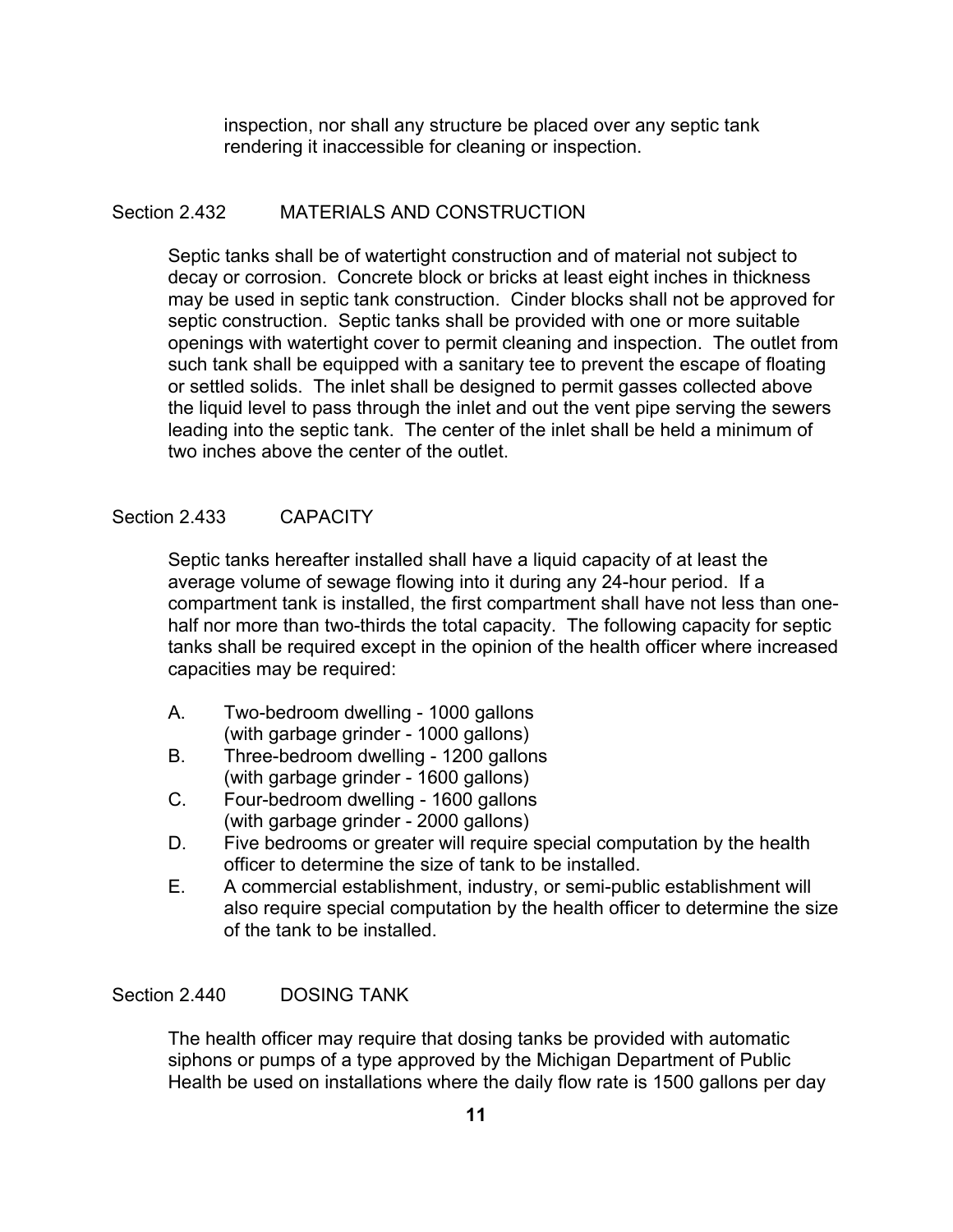inspection, nor shall any structure be placed over any septic tank rendering it inaccessible for cleaning or inspection.

# Section 2.432 MATERIALS AND CONSTRUCTION

Septic tanks shall be of watertight construction and of material not subject to decay or corrosion. Concrete block or bricks at least eight inches in thickness may be used in septic tank construction. Cinder blocks shall not be approved for septic construction. Septic tanks shall be provided with one or more suitable openings with watertight cover to permit cleaning and inspection. The outlet from such tank shall be equipped with a sanitary tee to prevent the escape of floating or settled solids. The inlet shall be designed to permit gasses collected above the liquid level to pass through the inlet and out the vent pipe serving the sewers leading into the septic tank. The center of the inlet shall be held a minimum of two inches above the center of the outlet.

# Section 2.433 CAPACITY

Septic tanks hereafter installed shall have a liquid capacity of at least the average volume of sewage flowing into it during any 24-hour period. If a compartment tank is installed, the first compartment shall have not less than onehalf nor more than two-thirds the total capacity. The following capacity for septic tanks shall be required except in the opinion of the health officer where increased capacities may be required:

- A. Two-bedroom dwelling 1000 gallons (with garbage grinder - 1000 gallons)
- B. Three-bedroom dwelling 1200 gallons (with garbage grinder - 1600 gallons)
- C. Four-bedroom dwelling 1600 gallons (with garbage grinder - 2000 gallons)
- D. Five bedrooms or greater will require special computation by the health officer to determine the size of tank to be installed.
- E. A commercial establishment, industry, or semi-public establishment will also require special computation by the health officer to determine the size of the tank to be installed.

# Section 2.440 DOSING TANK

The health officer may require that dosing tanks be provided with automatic siphons or pumps of a type approved by the Michigan Department of Public Health be used on installations where the daily flow rate is 1500 gallons per day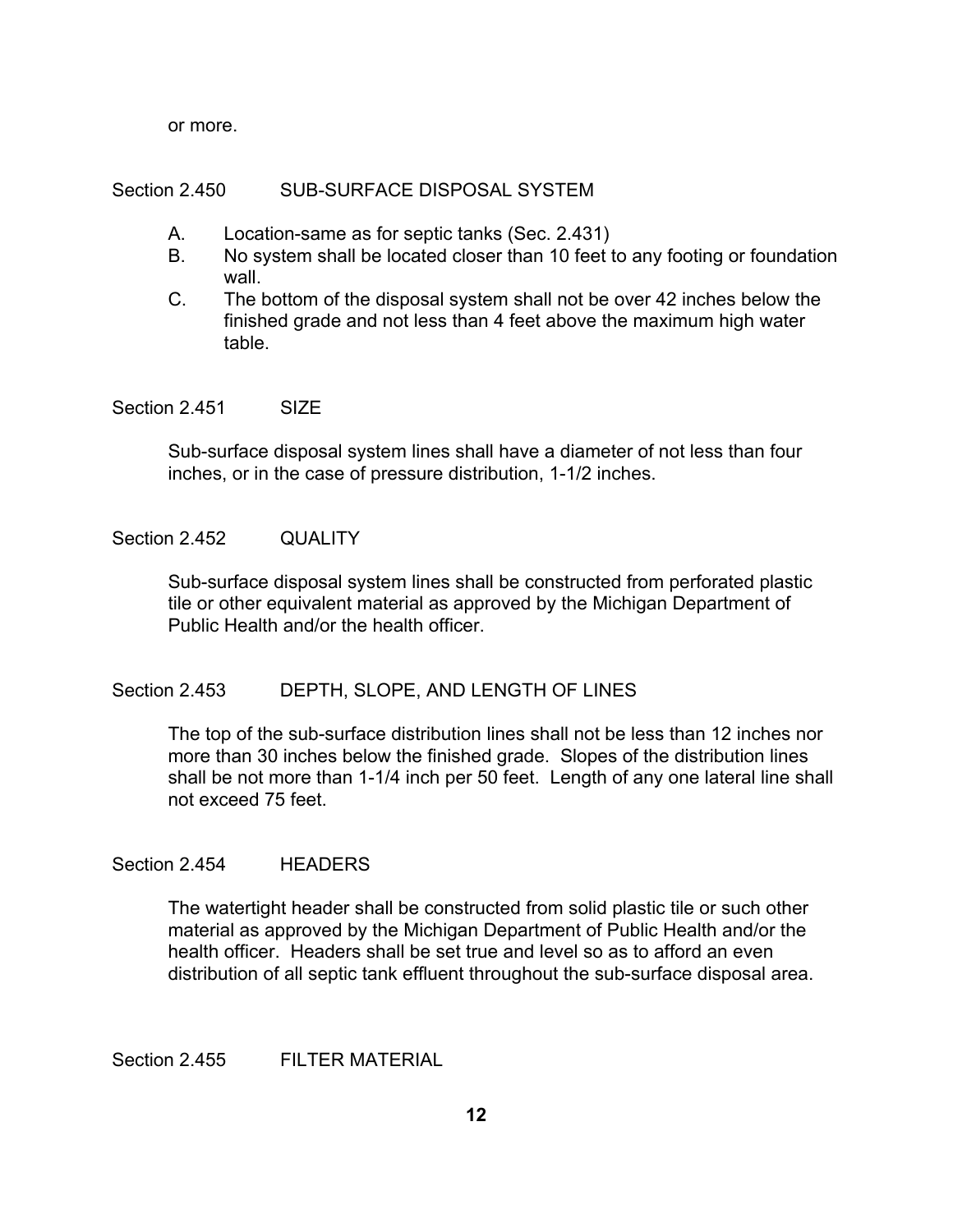or more.

### Section 2.450 SUB-SURFACE DISPOSAL SYSTEM

- A. Location-same as for septic tanks (Sec. 2.431)
- B. No system shall be located closer than 10 feet to any footing or foundation wall.
- C. The bottom of the disposal system shall not be over 42 inches below the finished grade and not less than 4 feet above the maximum high water table.

Section 2.451 SIZE

Sub-surface disposal system lines shall have a diameter of not less than four inches, or in the case of pressure distribution, 1-1/2 inches.

### Section 2.452 QUALITY

Sub-surface disposal system lines shall be constructed from perforated plastic tile or other equivalent material as approved by the Michigan Department of Public Health and/or the health officer.

# Section 2.453 DEPTH, SLOPE, AND LENGTH OF LINES

The top of the sub-surface distribution lines shall not be less than 12 inches nor more than 30 inches below the finished grade. Slopes of the distribution lines shall be not more than 1-1/4 inch per 50 feet. Length of any one lateral line shall not exceed 75 feet.

### Section 2.454 HEADERS

The watertight header shall be constructed from solid plastic tile or such other material as approved by the Michigan Department of Public Health and/or the health officer. Headers shall be set true and level so as to afford an even distribution of all septic tank effluent throughout the sub-surface disposal area.

Section 2.455 FILTER MATERIAL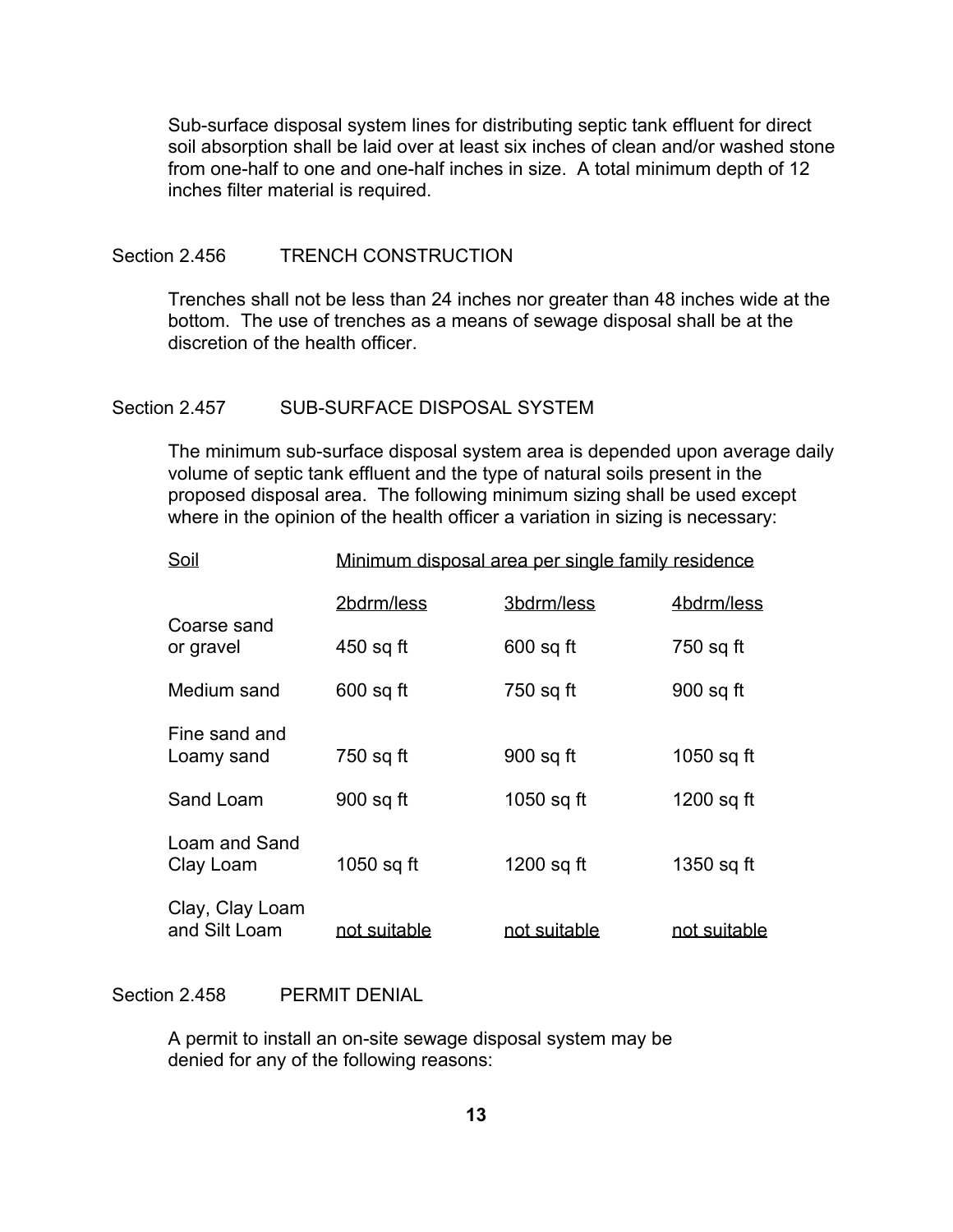Sub-surface disposal system lines for distributing septic tank effluent for direct soil absorption shall be laid over at least six inches of clean and/or washed stone from one-half to one and one-half inches in size. A total minimum depth of 12 inches filter material is required.

### Section 2.456 TRENCH CONSTRUCTION

Trenches shall not be less than 24 inches nor greater than 48 inches wide at the bottom. The use of trenches as a means of sewage disposal shall be at the discretion of the health officer.

#### Section 2.457 SUB-SURFACE DISPOSAL SYSTEM

The minimum sub-surface disposal system area is depended upon average daily volume of septic tank effluent and the type of natural soils present in the proposed disposal area. The following minimum sizing shall be used except where in the opinion of the health officer a variation in sizing is necessary:

| Soil                             | Minimum disposal area per single family residence |              |              |  |
|----------------------------------|---------------------------------------------------|--------------|--------------|--|
|                                  | 2bdrm/less                                        | 3bdrm/less   | 4bdrm/less   |  |
| Coarse sand<br>or gravel         | 450 sq ft                                         | $600$ sq ft  | 750 sq ft    |  |
| Medium sand                      | $600$ sq ft                                       | 750 sq ft    | 900 sq ft    |  |
| Fine sand and<br>Loamy sand      | 750 sq ft                                         | 900 sq ft    | 1050 sq ft   |  |
| Sand Loam                        | 900 sq ft                                         | 1050 sq ft   | 1200 sq ft   |  |
| Loam and Sand<br>Clay Loam       | 1050 sq ft                                        | 1200 sq ft   | 1350 sq ft   |  |
| Clay, Clay Loam<br>and Silt Loam | not suitable                                      | not suitable | not suitable |  |

Section 2.458 PERMIT DENIAL

A permit to install an on-site sewage disposal system may be denied for any of the following reasons: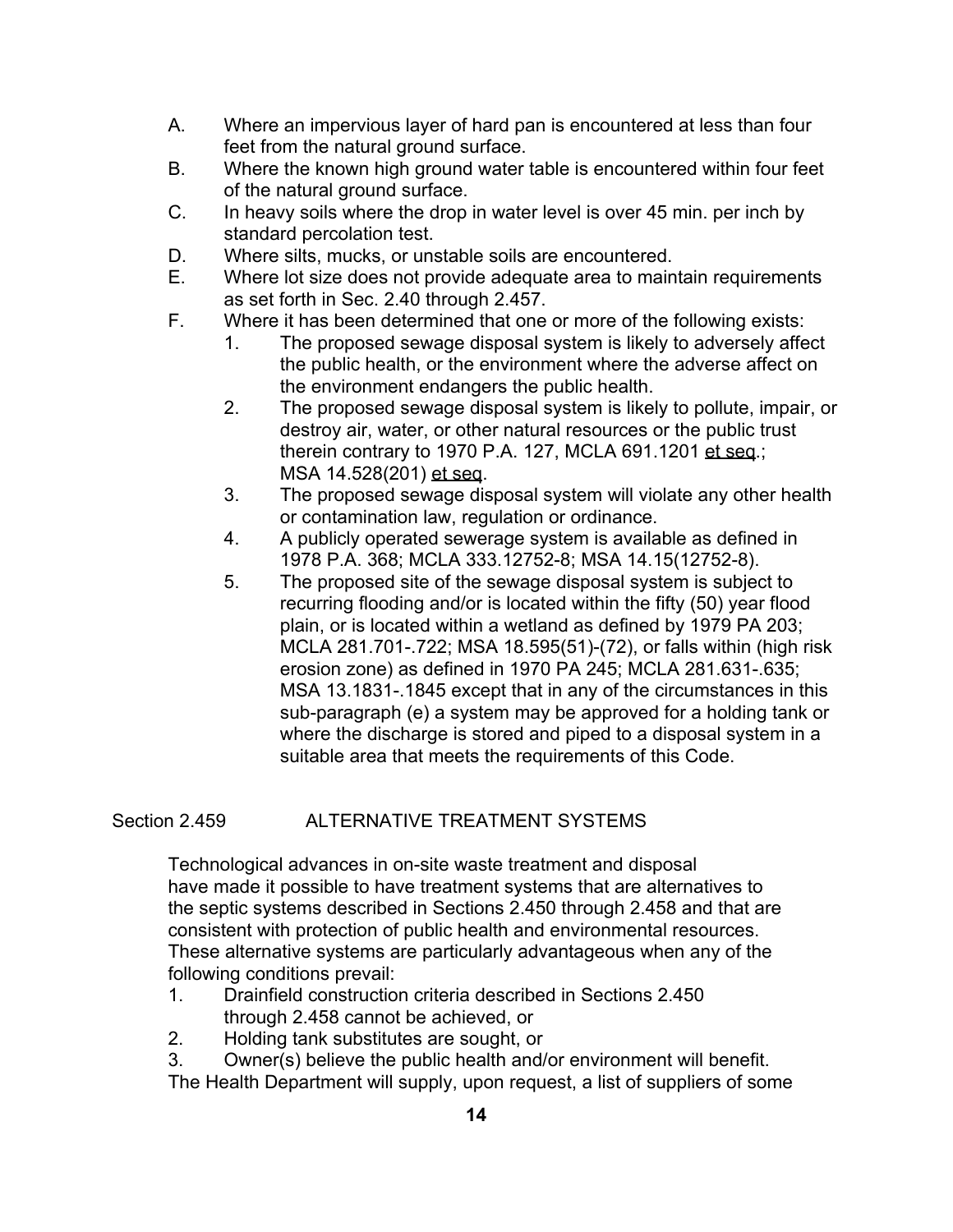- A. Where an impervious layer of hard pan is encountered at less than four feet from the natural ground surface.
- B. Where the known high ground water table is encountered within four feet of the natural ground surface.
- C. In heavy soils where the drop in water level is over 45 min. per inch by standard percolation test.
- D. Where silts, mucks, or unstable soils are encountered.
- E. Where lot size does not provide adequate area to maintain requirements as set forth in Sec. 2.40 through 2.457.
- F. Where it has been determined that one or more of the following exists:
	- 1. The proposed sewage disposal system is likely to adversely affect the public health, or the environment where the adverse affect on the environment endangers the public health.
	- 2. The proposed sewage disposal system is likely to pollute, impair, or destroy air, water, or other natural resources or the public trust therein contrary to 1970 P.A. 127, MCLA 691.1201 et seq.; MSA 14.528(201) et seq.
	- 3. The proposed sewage disposal system will violate any other health or contamination law, regulation or ordinance.
	- 4. A publicly operated sewerage system is available as defined in 1978 P.A. 368; MCLA 333.12752-8; MSA 14.15(12752-8).
	- 5. The proposed site of the sewage disposal system is subject to recurring flooding and/or is located within the fifty (50) year flood plain, or is located within a wetland as defined by 1979 PA 203; MCLA 281.701-.722; MSA 18.595(51)-(72), or falls within (high risk erosion zone) as defined in 1970 PA 245; MCLA 281.631-.635; MSA 13.1831-.1845 except that in any of the circumstances in this sub-paragraph (e) a system may be approved for a holding tank or where the discharge is stored and piped to a disposal system in a suitable area that meets the requirements of this Code.

# Section 2.459 ALTERNATIVE TREATMENT SYSTEMS

Technological advances in on-site waste treatment and disposal have made it possible to have treatment systems that are alternatives to the septic systems described in Sections 2.450 through 2.458 and that are consistent with protection of public health and environmental resources. These alternative systems are particularly advantageous when any of the following conditions prevail:

- 1. Drainfield construction criteria described in Sections 2.450 through 2.458 cannot be achieved, or
- 2. Holding tank substitutes are sought, or

3. Owner(s) believe the public health and/or environment will benefit.

The Health Department will supply, upon request, a list of suppliers of some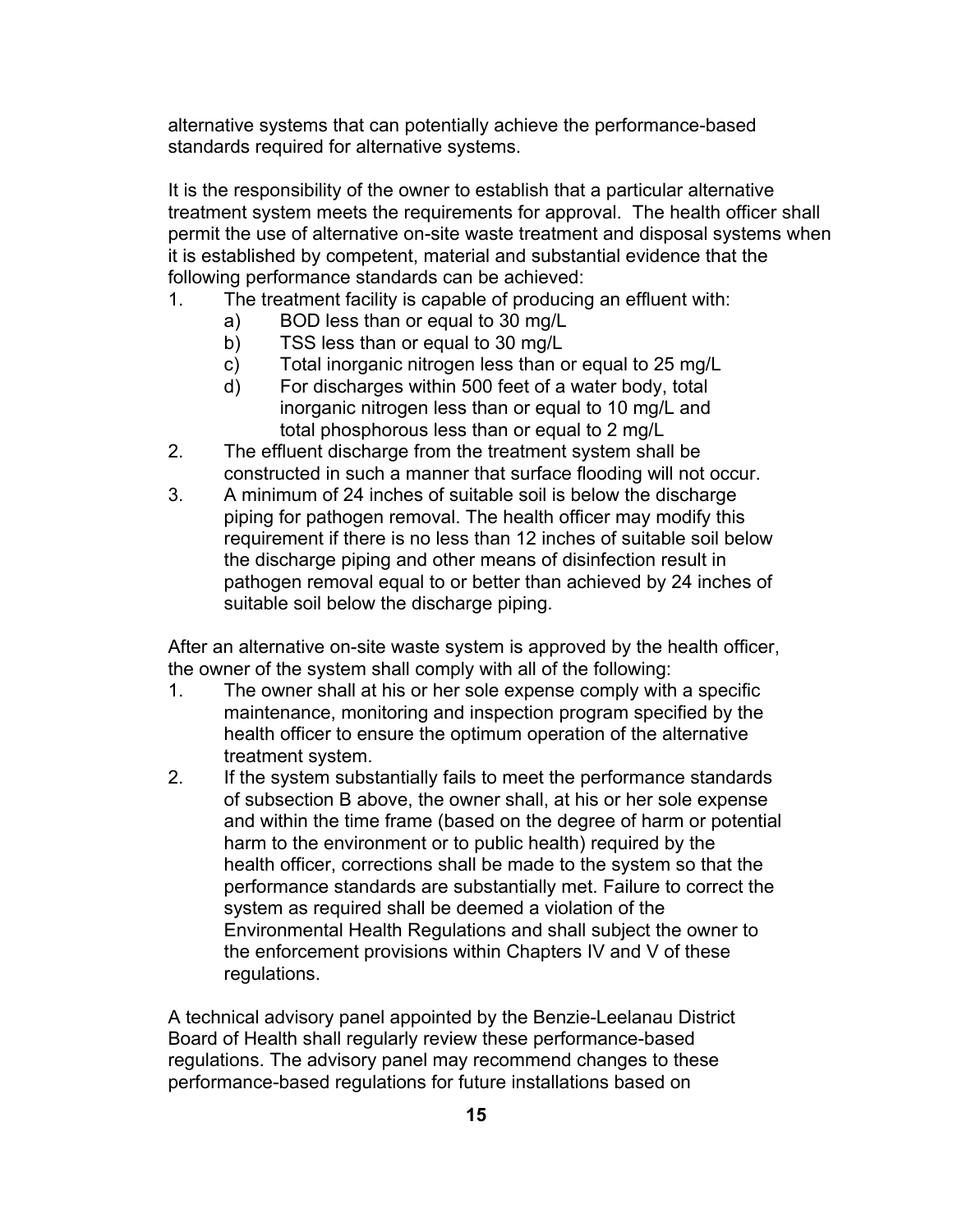alternative systems that can potentially achieve the performance-based standards required for alternative systems.

It is the responsibility of the owner to establish that a particular alternative treatment system meets the requirements for approval. The health officer shall permit the use of alternative on-site waste treatment and disposal systems when it is established by competent, material and substantial evidence that the following performance standards can be achieved:

- 1. The treatment facility is capable of producing an effluent with:
	- a) BOD less than or equal to 30 mg/L
	- b) TSS less than or equal to 30 mg/L
	- c) Total inorganic nitrogen less than or equal to 25 mg/L
	- d) For discharges within 500 feet of a water body, total inorganic nitrogen less than or equal to 10 mg/L and total phosphorous less than or equal to 2 mg/L
- 2. The effluent discharge from the treatment system shall be constructed in such a manner that surface flooding will not occur.
- 3. A minimum of 24 inches of suitable soil is below the discharge piping for pathogen removal. The health officer may modify this requirement if there is no less than 12 inches of suitable soil below the discharge piping and other means of disinfection result in pathogen removal equal to or better than achieved by 24 inches of suitable soil below the discharge piping.

After an alternative on-site waste system is approved by the health officer, the owner of the system shall comply with all of the following:

- 1. The owner shall at his or her sole expense comply with a specific maintenance, monitoring and inspection program specified by the health officer to ensure the optimum operation of the alternative treatment system.
- 2. If the system substantially fails to meet the performance standards of subsection B above, the owner shall, at his or her sole expense and within the time frame (based on the degree of harm or potential harm to the environment or to public health) required by the health officer, corrections shall be made to the system so that the performance standards are substantially met. Failure to correct the system as required shall be deemed a violation of the Environmental Health Regulations and shall subject the owner to the enforcement provisions within Chapters IV and V of these regulations.

A technical advisory panel appointed by the Benzie-Leelanau District Board of Health shall regularly review these performance-based regulations. The advisory panel may recommend changes to these performance-based regulations for future installations based on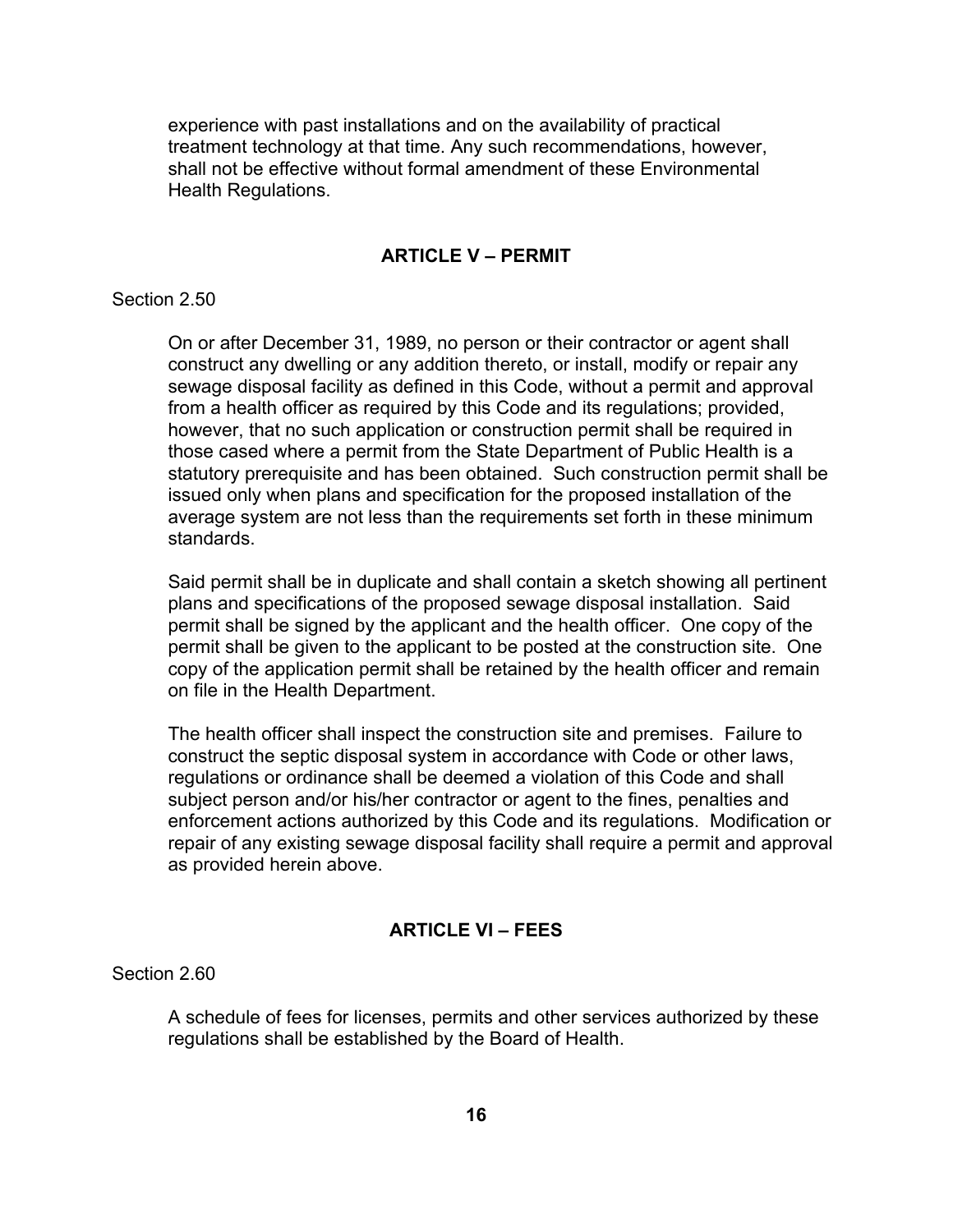experience with past installations and on the availability of practical treatment technology at that time. Any such recommendations, however, shall not be effective without formal amendment of these Environmental Health Regulations.

# **ARTICLE V – PERMIT**

### Section 2.50

On or after December 31, 1989, no person or their contractor or agent shall construct any dwelling or any addition thereto, or install, modify or repair any sewage disposal facility as defined in this Code, without a permit and approval from a health officer as required by this Code and its regulations; provided, however, that no such application or construction permit shall be required in those cased where a permit from the State Department of Public Health is a statutory prerequisite and has been obtained. Such construction permit shall be issued only when plans and specification for the proposed installation of the average system are not less than the requirements set forth in these minimum standards.

Said permit shall be in duplicate and shall contain a sketch showing all pertinent plans and specifications of the proposed sewage disposal installation. Said permit shall be signed by the applicant and the health officer. One copy of the permit shall be given to the applicant to be posted at the construction site. One copy of the application permit shall be retained by the health officer and remain on file in the Health Department.

The health officer shall inspect the construction site and premises. Failure to construct the septic disposal system in accordance with Code or other laws, regulations or ordinance shall be deemed a violation of this Code and shall subject person and/or his/her contractor or agent to the fines, penalties and enforcement actions authorized by this Code and its regulations. Modification or repair of any existing sewage disposal facility shall require a permit and approval as provided herein above.

# **ARTICLE VI – FEES**

Section 2.60

A schedule of fees for licenses, permits and other services authorized by these regulations shall be established by the Board of Health.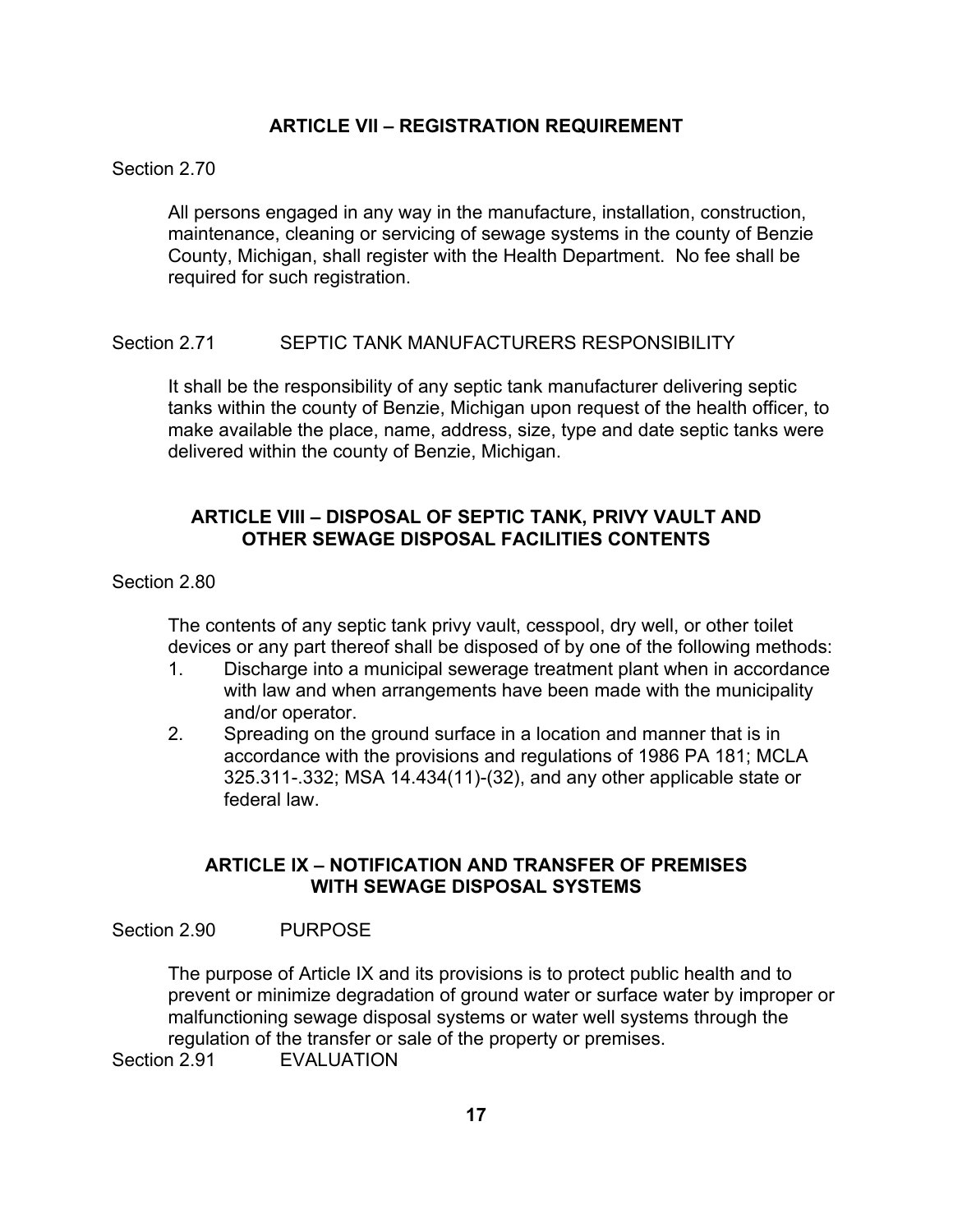# **ARTICLE VII – REGISTRATION REQUIREMENT**

### Section 2.70

All persons engaged in any way in the manufacture, installation, construction, maintenance, cleaning or servicing of sewage systems in the county of Benzie County, Michigan, shall register with the Health Department. No fee shall be required for such registration.

# Section 2.71 SEPTIC TANK MANUFACTURERS RESPONSIBILITY

It shall be the responsibility of any septic tank manufacturer delivering septic tanks within the county of Benzie, Michigan upon request of the health officer, to make available the place, name, address, size, type and date septic tanks were delivered within the county of Benzie, Michigan.

# **ARTICLE VIII – DISPOSAL OF SEPTIC TANK, PRIVY VAULT AND OTHER SEWAGE DISPOSAL FACILITIES CONTENTS**

### Section 2.80

The contents of any septic tank privy vault, cesspool, dry well, or other toilet devices or any part thereof shall be disposed of by one of the following methods:

- 1. Discharge into a municipal sewerage treatment plant when in accordance with law and when arrangements have been made with the municipality and/or operator.
- 2. Spreading on the ground surface in a location and manner that is in accordance with the provisions and regulations of 1986 PA 181; MCLA 325.311-.332; MSA 14.434(11)-(32), and any other applicable state or federal law.

# **ARTICLE IX – NOTIFICATION AND TRANSFER OF PREMISES WITH SEWAGE DISPOSAL SYSTEMS**

#### Section 2.90 PURPOSE

The purpose of Article IX and its provisions is to protect public health and to prevent or minimize degradation of ground water or surface water by improper or malfunctioning sewage disposal systems or water well systems through the regulation of the transfer or sale of the property or premises. Section 2.91 **EVALUATION**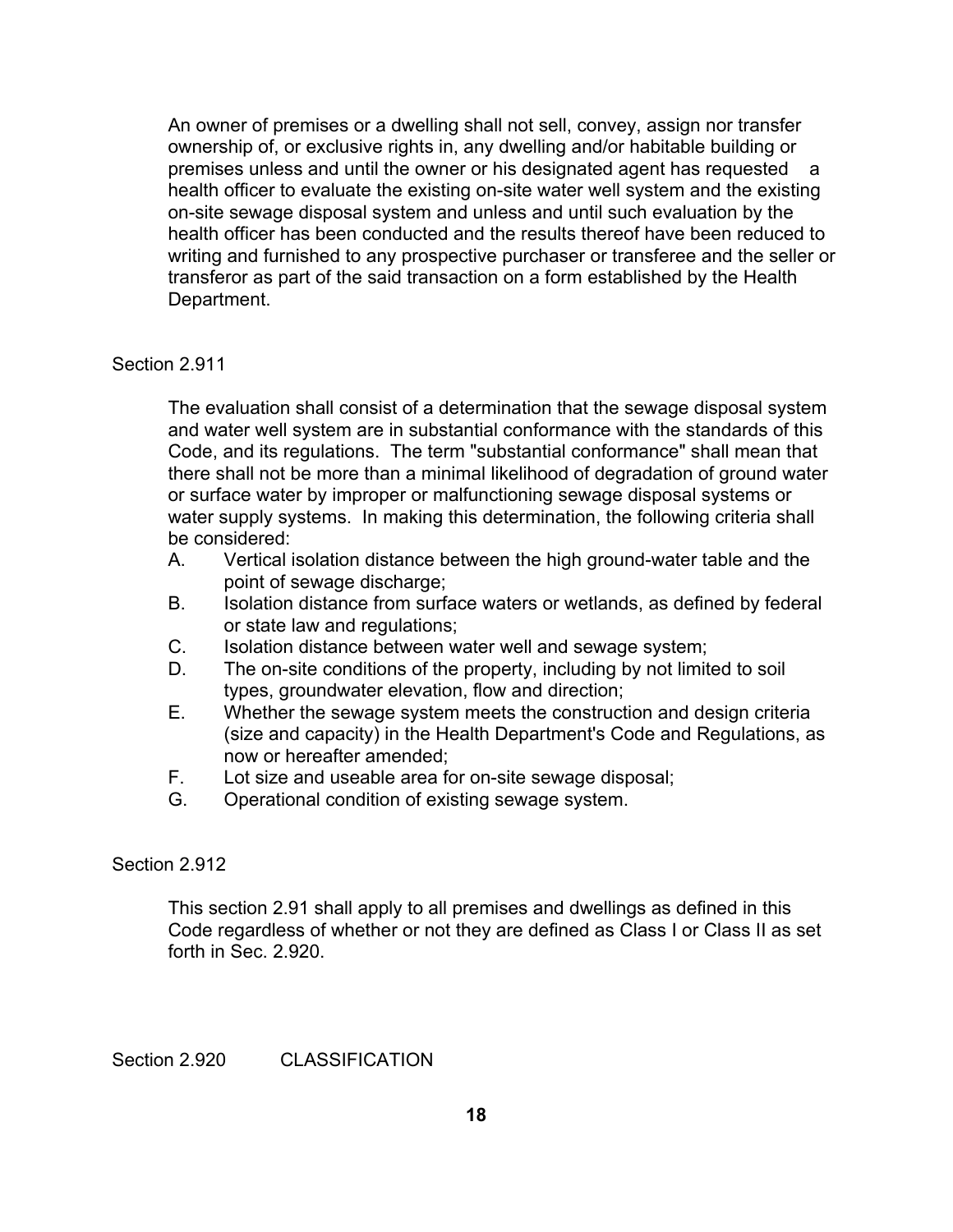An owner of premises or a dwelling shall not sell, convey, assign nor transfer ownership of, or exclusive rights in, any dwelling and/or habitable building or premises unless and until the owner or his designated agent has requested a health officer to evaluate the existing on-site water well system and the existing on-site sewage disposal system and unless and until such evaluation by the health officer has been conducted and the results thereof have been reduced to writing and furnished to any prospective purchaser or transferee and the seller or transferor as part of the said transaction on a form established by the Health Department.

### Section 2.911

The evaluation shall consist of a determination that the sewage disposal system and water well system are in substantial conformance with the standards of this Code, and its regulations. The term "substantial conformance" shall mean that there shall not be more than a minimal likelihood of degradation of ground water or surface water by improper or malfunctioning sewage disposal systems or water supply systems. In making this determination, the following criteria shall be considered:

- A. Vertical isolation distance between the high ground-water table and the point of sewage discharge;
- B. Isolation distance from surface waters or wetlands, as defined by federal or state law and regulations;
- C. Isolation distance between water well and sewage system;
- D. The on-site conditions of the property, including by not limited to soil types, groundwater elevation, flow and direction;
- E. Whether the sewage system meets the construction and design criteria (size and capacity) in the Health Department's Code and Regulations, as now or hereafter amended;
- F. Lot size and useable area for on-site sewage disposal;
- G. Operational condition of existing sewage system.

# Section 2.912

This section 2.91 shall apply to all premises and dwellings as defined in this Code regardless of whether or not they are defined as Class I or Class II as set forth in Sec. 2.920.

# Section 2.920 CLASSIFICATION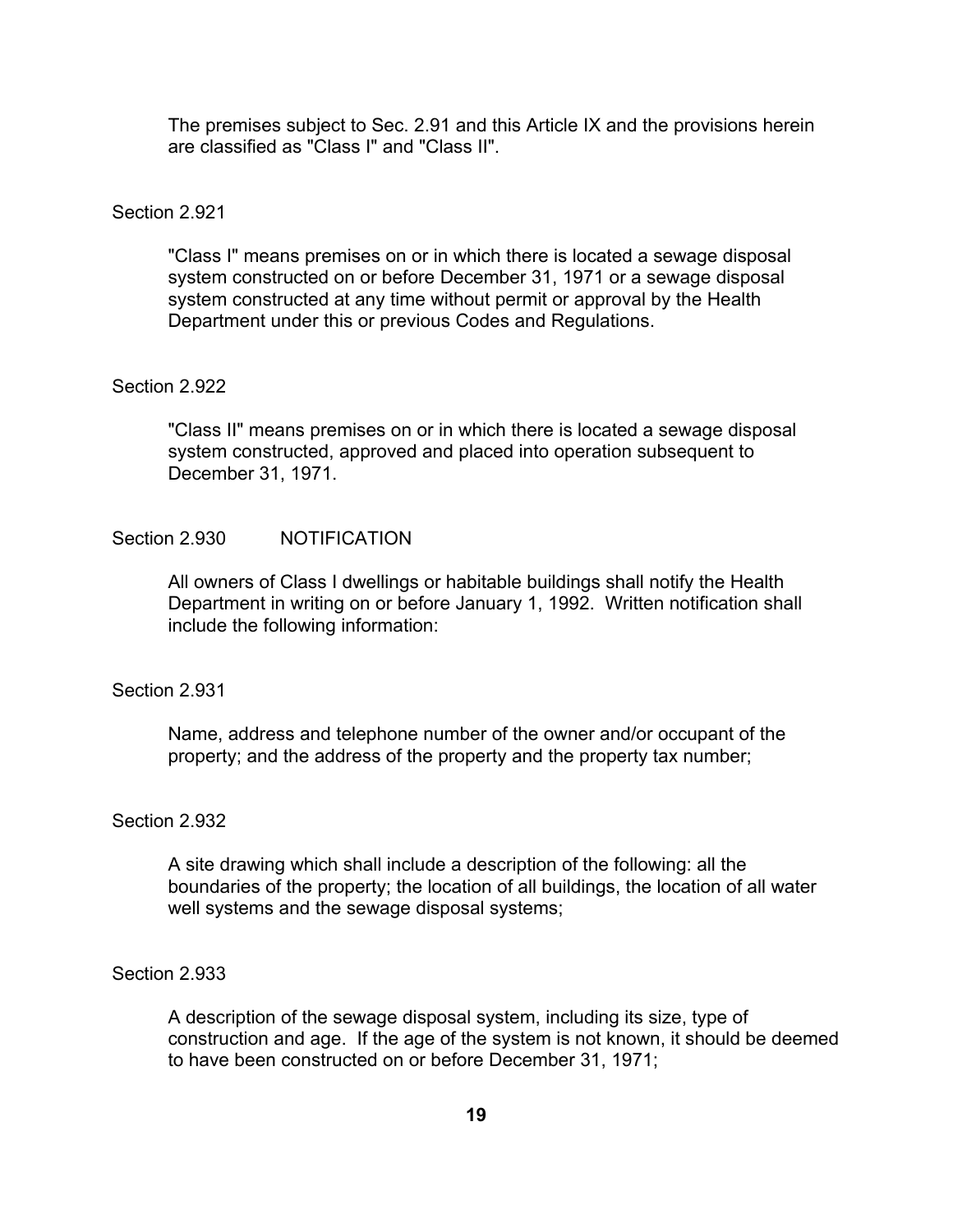The premises subject to Sec. 2.91 and this Article IX and the provisions herein are classified as "Class I" and "Class II".

### Section 2.921

"Class I" means premises on or in which there is located a sewage disposal system constructed on or before December 31, 1971 or a sewage disposal system constructed at any time without permit or approval by the Health Department under this or previous Codes and Regulations.

# Section 2.922

"Class II" means premises on or in which there is located a sewage disposal system constructed, approved and placed into operation subsequent to December 31, 1971.

# Section 2.930 NOTIFICATION

All owners of Class I dwellings or habitable buildings shall notify the Health Department in writing on or before January 1, 1992. Written notification shall include the following information:

#### Section 2.931

Name, address and telephone number of the owner and/or occupant of the property; and the address of the property and the property tax number;

#### Section 2.932

A site drawing which shall include a description of the following: all the boundaries of the property; the location of all buildings, the location of all water well systems and the sewage disposal systems;

### Section 2.933

A description of the sewage disposal system, including its size, type of construction and age. If the age of the system is not known, it should be deemed to have been constructed on or before December 31, 1971;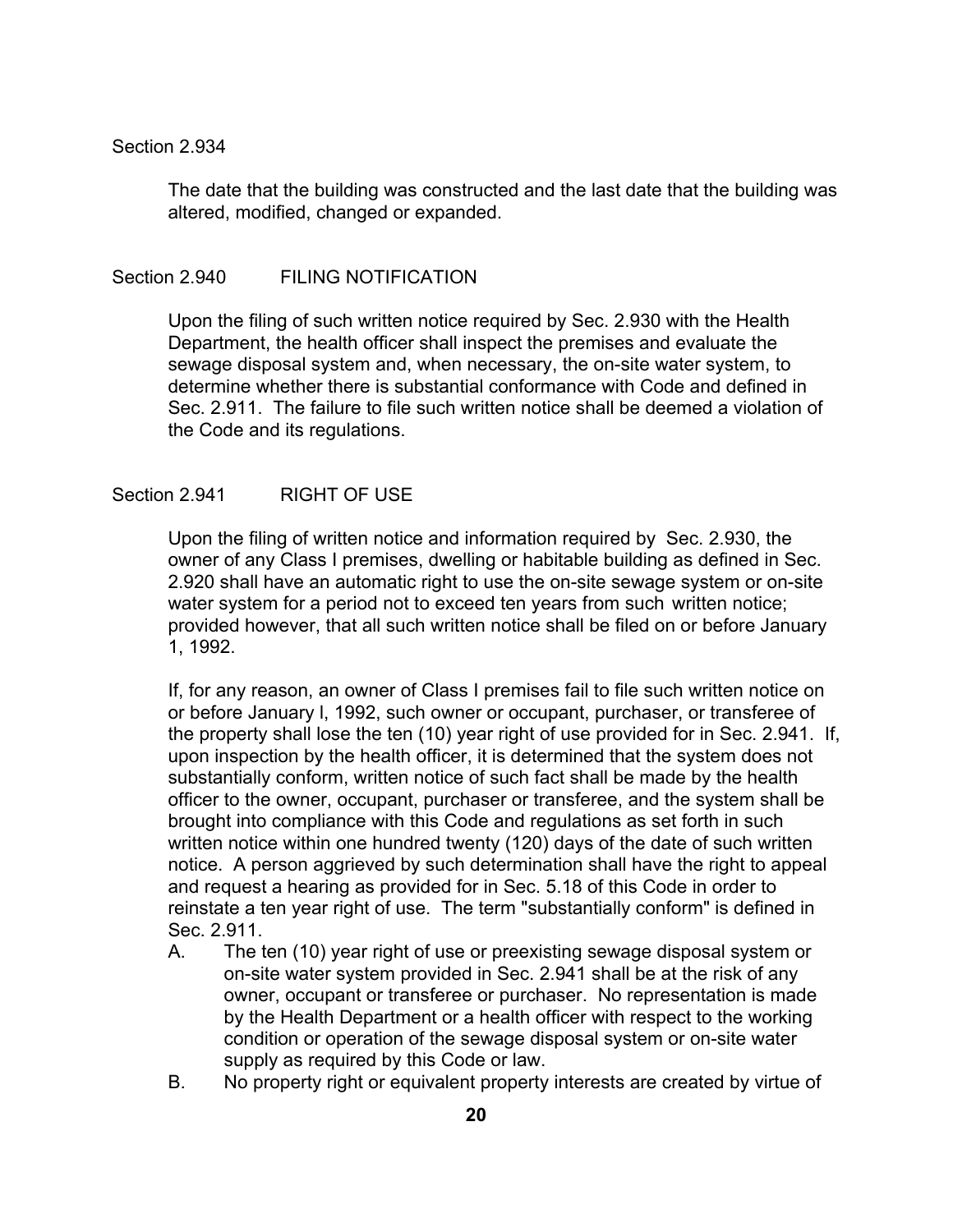#### Section 2.934

The date that the building was constructed and the last date that the building was altered, modified, changed or expanded.

# Section 2.940 FILING NOTIFICATION

Upon the filing of such written notice required by Sec. 2.930 with the Health Department, the health officer shall inspect the premises and evaluate the sewage disposal system and, when necessary, the on-site water system, to determine whether there is substantial conformance with Code and defined in Sec. 2.911. The failure to file such written notice shall be deemed a violation of the Code and its regulations.

### Section 2.941 RIGHT OF USE

Upon the filing of written notice and information required by Sec. 2.930, the owner of any Class I premises, dwelling or habitable building as defined in Sec. 2.920 shall have an automatic right to use the on-site sewage system or on-site water system for a period not to exceed ten years from such written notice; provided however, that all such written notice shall be filed on or before January 1, 1992.

If, for any reason, an owner of Class I premises fail to file such written notice on or before January l, 1992, such owner or occupant, purchaser, or transferee of the property shall lose the ten (10) year right of use provided for in Sec. 2.941. If, upon inspection by the health officer, it is determined that the system does not substantially conform, written notice of such fact shall be made by the health officer to the owner, occupant, purchaser or transferee, and the system shall be brought into compliance with this Code and regulations as set forth in such written notice within one hundred twenty (120) days of the date of such written notice. A person aggrieved by such determination shall have the right to appeal and request a hearing as provided for in Sec. 5.18 of this Code in order to reinstate a ten year right of use. The term "substantially conform" is defined in Sec. 2.911.

- A. The ten (10) year right of use or preexisting sewage disposal system or on-site water system provided in Sec. 2.941 shall be at the risk of any owner, occupant or transferee or purchaser. No representation is made by the Health Department or a health officer with respect to the working condition or operation of the sewage disposal system or on-site water supply as required by this Code or law.
- B. No property right or equivalent property interests are created by virtue of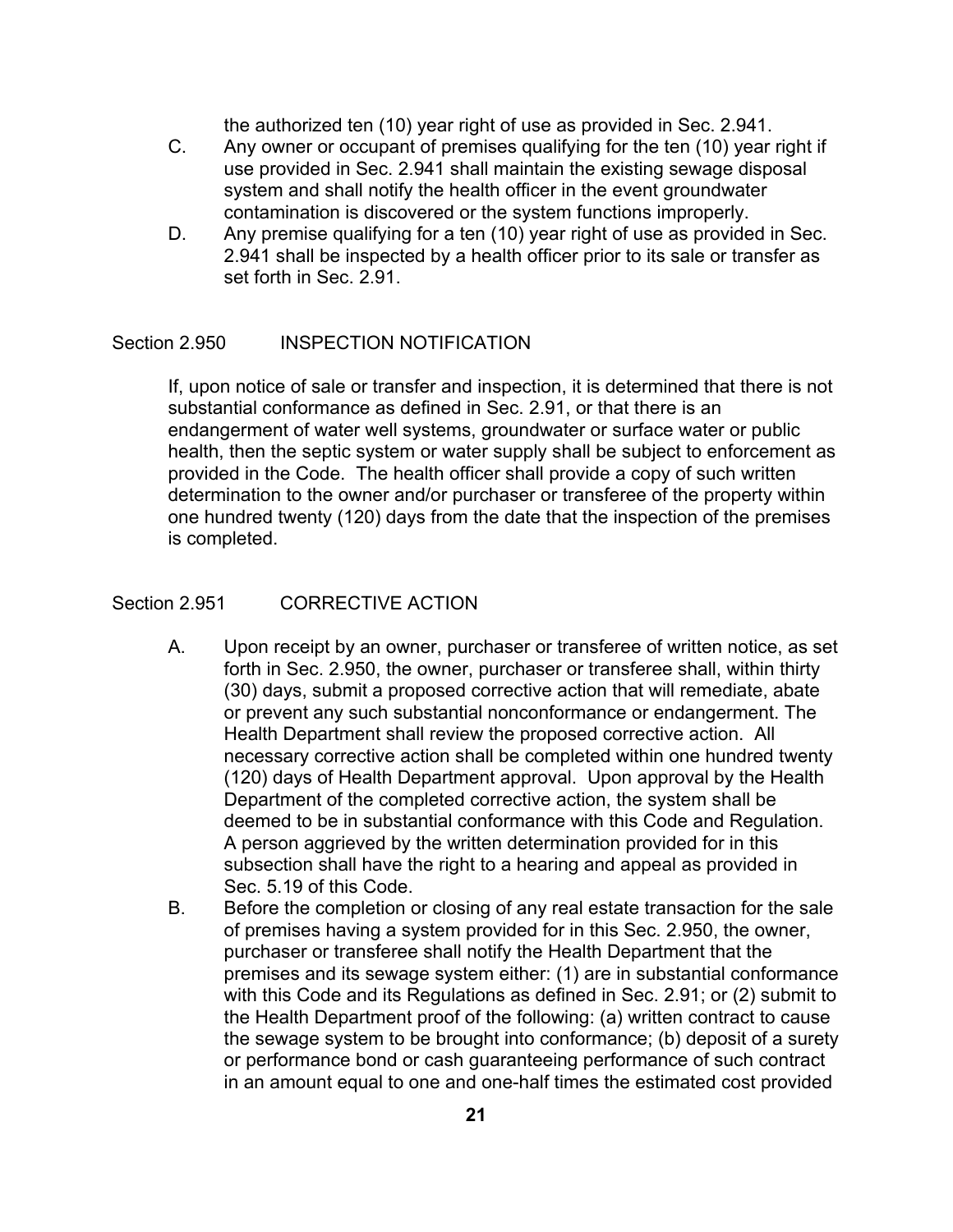the authorized ten (10) year right of use as provided in Sec. 2.941.

- C. Any owner or occupant of premises qualifying for the ten (10) year right if use provided in Sec. 2.941 shall maintain the existing sewage disposal system and shall notify the health officer in the event groundwater contamination is discovered or the system functions improperly.
- D. Any premise qualifying for a ten (10) year right of use as provided in Sec. 2.941 shall be inspected by a health officer prior to its sale or transfer as set forth in Sec. 2.91.

# Section 2.950 INSPECTION NOTIFICATION

If, upon notice of sale or transfer and inspection, it is determined that there is not substantial conformance as defined in Sec. 2.91, or that there is an endangerment of water well systems, groundwater or surface water or public health, then the septic system or water supply shall be subject to enforcement as provided in the Code. The health officer shall provide a copy of such written determination to the owner and/or purchaser or transferee of the property within one hundred twenty (120) days from the date that the inspection of the premises is completed.

### Section 2.951 CORRECTIVE ACTION

- A. Upon receipt by an owner, purchaser or transferee of written notice, as set forth in Sec. 2.950, the owner, purchaser or transferee shall, within thirty (30) days, submit a proposed corrective action that will remediate, abate or prevent any such substantial nonconformance or endangerment. The Health Department shall review the proposed corrective action. All necessary corrective action shall be completed within one hundred twenty (120) days of Health Department approval. Upon approval by the Health Department of the completed corrective action, the system shall be deemed to be in substantial conformance with this Code and Regulation. A person aggrieved by the written determination provided for in this subsection shall have the right to a hearing and appeal as provided in Sec. 5.19 of this Code.
- B. Before the completion or closing of any real estate transaction for the sale of premises having a system provided for in this Sec. 2.950, the owner, purchaser or transferee shall notify the Health Department that the premises and its sewage system either: (1) are in substantial conformance with this Code and its Regulations as defined in Sec. 2.91; or (2) submit to the Health Department proof of the following: (a) written contract to cause the sewage system to be brought into conformance; (b) deposit of a surety or performance bond or cash guaranteeing performance of such contract in an amount equal to one and one-half times the estimated cost provided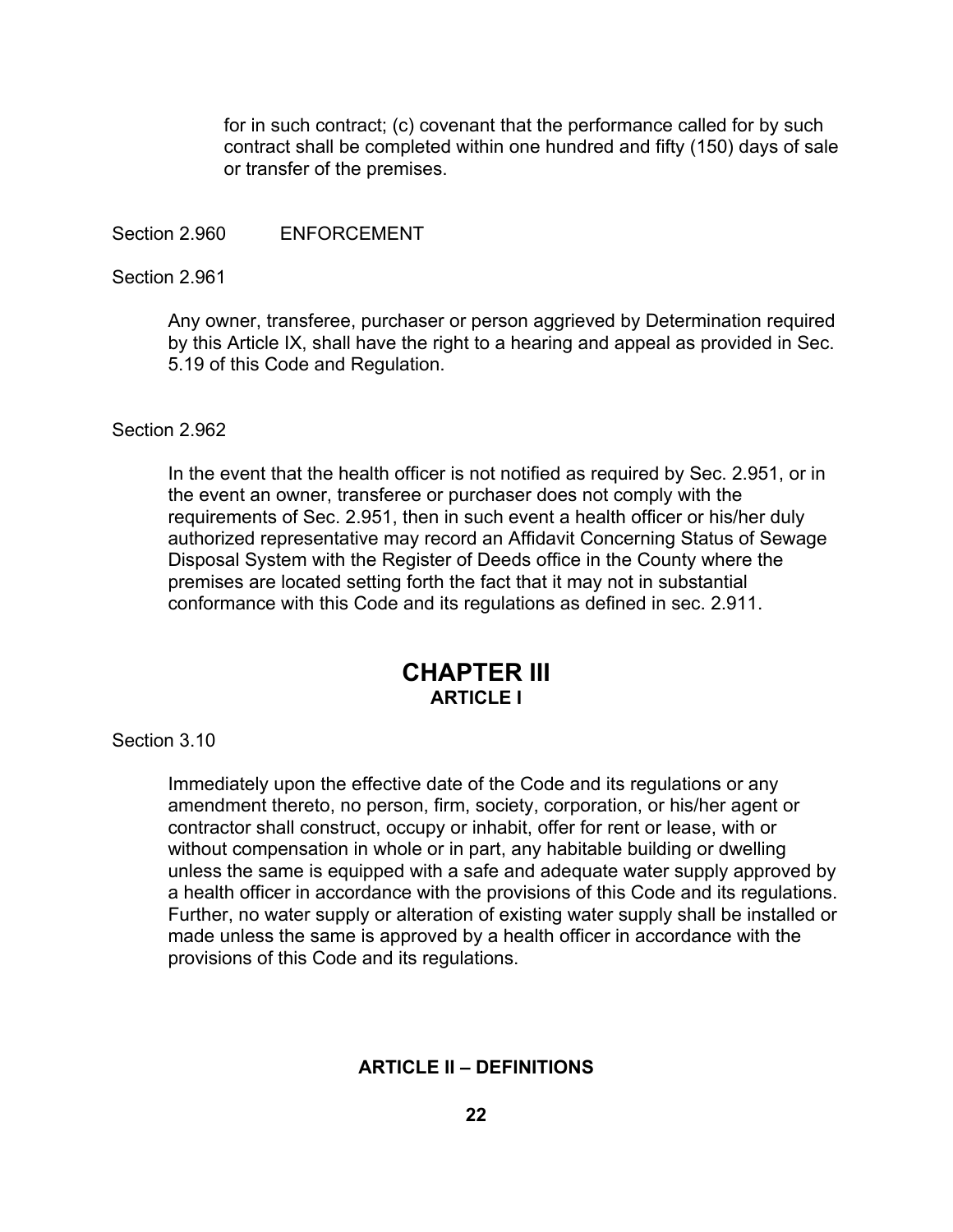for in such contract; (c) covenant that the performance called for by such contract shall be completed within one hundred and fifty (150) days of sale or transfer of the premises.

Section 2.960 ENFORCEMENT

### Section 2.961

Any owner, transferee, purchaser or person aggrieved by Determination required by this Article IX, shall have the right to a hearing and appeal as provided in Sec. 5.19 of this Code and Regulation.

# Section 2.962

In the event that the health officer is not notified as required by Sec. 2.951, or in the event an owner, transferee or purchaser does not comply with the requirements of Sec. 2.951, then in such event a health officer or his/her duly authorized representative may record an Affidavit Concerning Status of Sewage Disposal System with the Register of Deeds office in the County where the premises are located setting forth the fact that it may not in substantial conformance with this Code and its regulations as defined in sec. 2.911.

# **CHAPTER III ARTICLE I**

Section 3.10

Immediately upon the effective date of the Code and its regulations or any amendment thereto, no person, firm, society, corporation, or his/her agent or contractor shall construct, occupy or inhabit, offer for rent or lease, with or without compensation in whole or in part, any habitable building or dwelling unless the same is equipped with a safe and adequate water supply approved by a health officer in accordance with the provisions of this Code and its regulations. Further, no water supply or alteration of existing water supply shall be installed or made unless the same is approved by a health officer in accordance with the provisions of this Code and its regulations.

# **ARTICLE II – DEFINITIONS**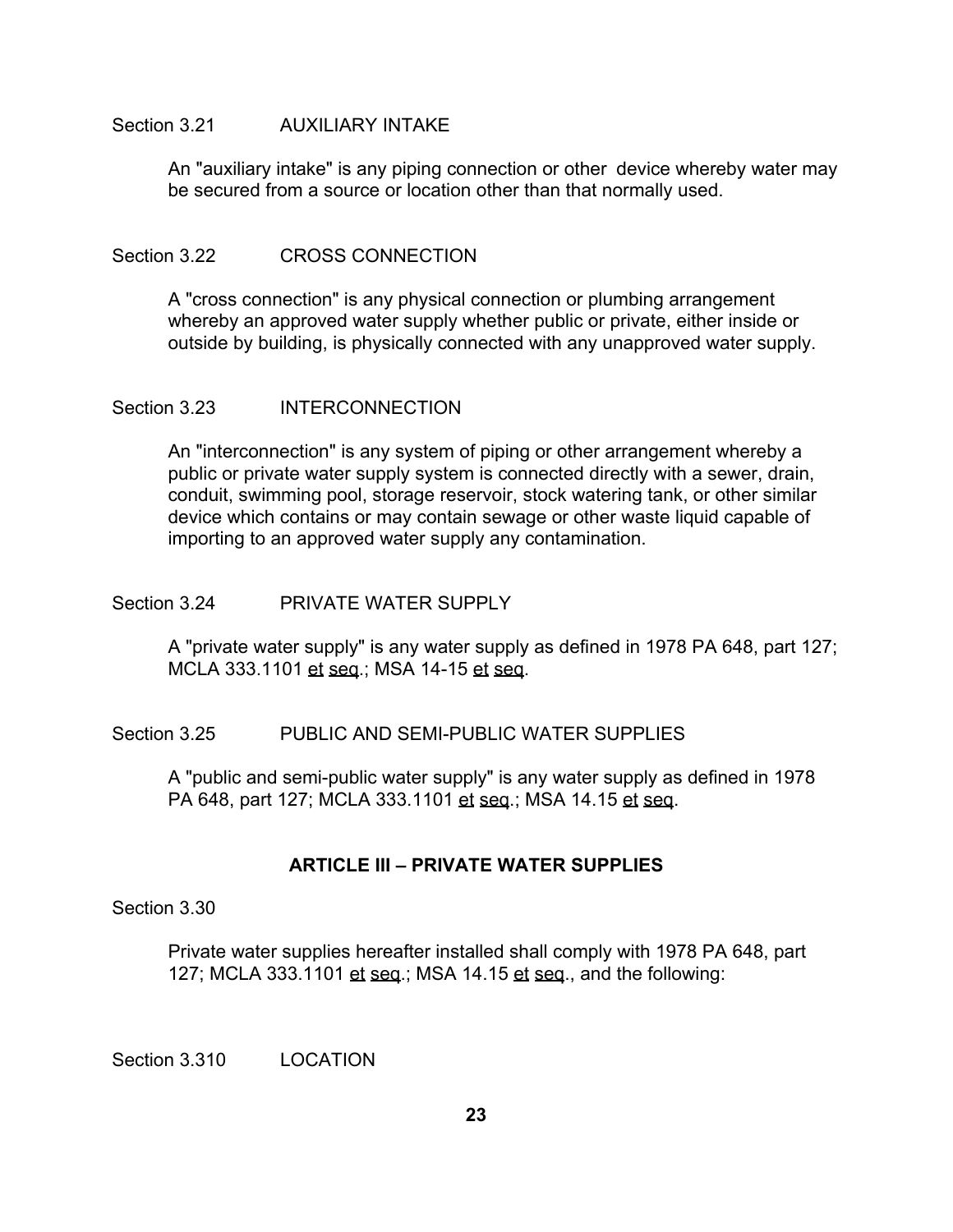## Section 3.21 AUXILIARY INTAKE

An "auxiliary intake" is any piping connection or other device whereby water may be secured from a source or location other than that normally used.

### Section 3.22 CROSS CONNECTION

A "cross connection" is any physical connection or plumbing arrangement whereby an approved water supply whether public or private, either inside or outside by building, is physically connected with any unapproved water supply.

### Section 3.23 INTERCONNECTION

An "interconnection" is any system of piping or other arrangement whereby a public or private water supply system is connected directly with a sewer, drain, conduit, swimming pool, storage reservoir, stock watering tank, or other similar device which contains or may contain sewage or other waste liquid capable of importing to an approved water supply any contamination.

### Section 3.24 PRIVATE WATER SUPPLY

A "private water supply" is any water supply as defined in 1978 PA 648, part 127; MCLA 333.1101 et seq.; MSA 14-15 et seq.

# Section 3.25 PUBLIC AND SEMI-PUBLIC WATER SUPPLIES

A "public and semi-public water supply" is any water supply as defined in 1978 PA 648, part 127; MCLA 333.1101 et seq.; MSA 14.15 et seq.

# **ARTICLE III – PRIVATE WATER SUPPLIES**

Section 3.30

Private water supplies hereafter installed shall comply with 1978 PA 648, part 127; MCLA 333.1101 et seq.; MSA 14.15 et seq., and the following:

Section 3.310 LOCATION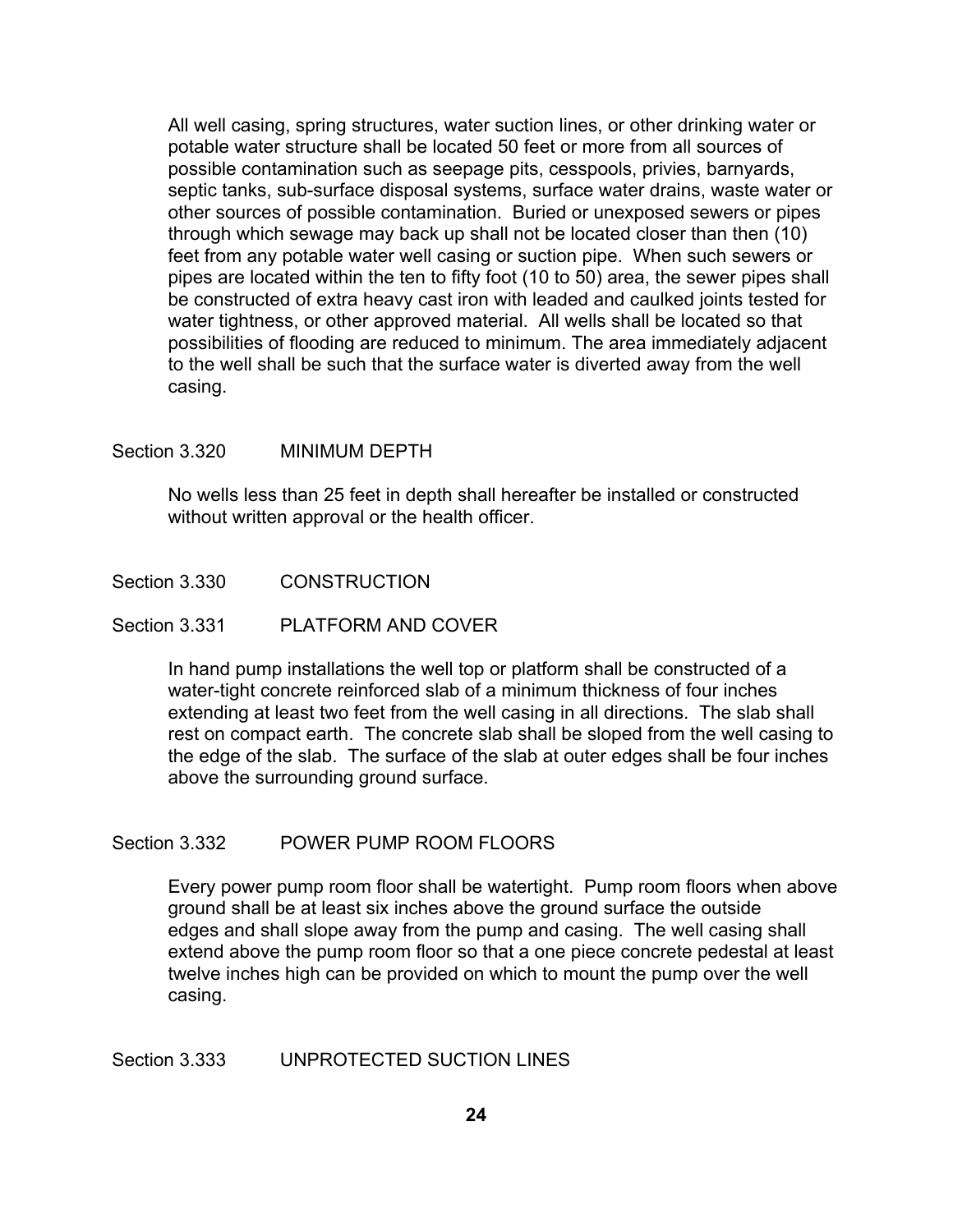All well casing, spring structures, water suction lines, or other drinking water or potable water structure shall be located 50 feet or more from all sources of possible contamination such as seepage pits, cesspools, privies, barnyards, septic tanks, sub-surface disposal systems, surface water drains, waste water or other sources of possible contamination. Buried or unexposed sewers or pipes through which sewage may back up shall not be located closer than then (10) feet from any potable water well casing or suction pipe. When such sewers or pipes are located within the ten to fifty foot (10 to 50) area, the sewer pipes shall be constructed of extra heavy cast iron with leaded and caulked joints tested for water tightness, or other approved material. All wells shall be located so that possibilities of flooding are reduced to minimum. The area immediately adjacent to the well shall be such that the surface water is diverted away from the well casing.

### Section 3.320 MINIMUM DEPTH

No wells less than 25 feet in depth shall hereafter be installed or constructed without written approval or the health officer.

Section 3.330 CONSTRUCTION

#### Section 3.331 PLATFORM AND COVER

In hand pump installations the well top or platform shall be constructed of a water-tight concrete reinforced slab of a minimum thickness of four inches extending at least two feet from the well casing in all directions. The slab shall rest on compact earth. The concrete slab shall be sloped from the well casing to the edge of the slab. The surface of the slab at outer edges shall be four inches above the surrounding ground surface.

# Section 3.332 POWER PUMP ROOM FLOORS

Every power pump room floor shall be watertight. Pump room floors when above ground shall be at least six inches above the ground surface the outside edges and shall slope away from the pump and casing. The well casing shall extend above the pump room floor so that a one piece concrete pedestal at least twelve inches high can be provided on which to mount the pump over the well casing.

# Section 3.333 UNPROTECTED SUCTION LINES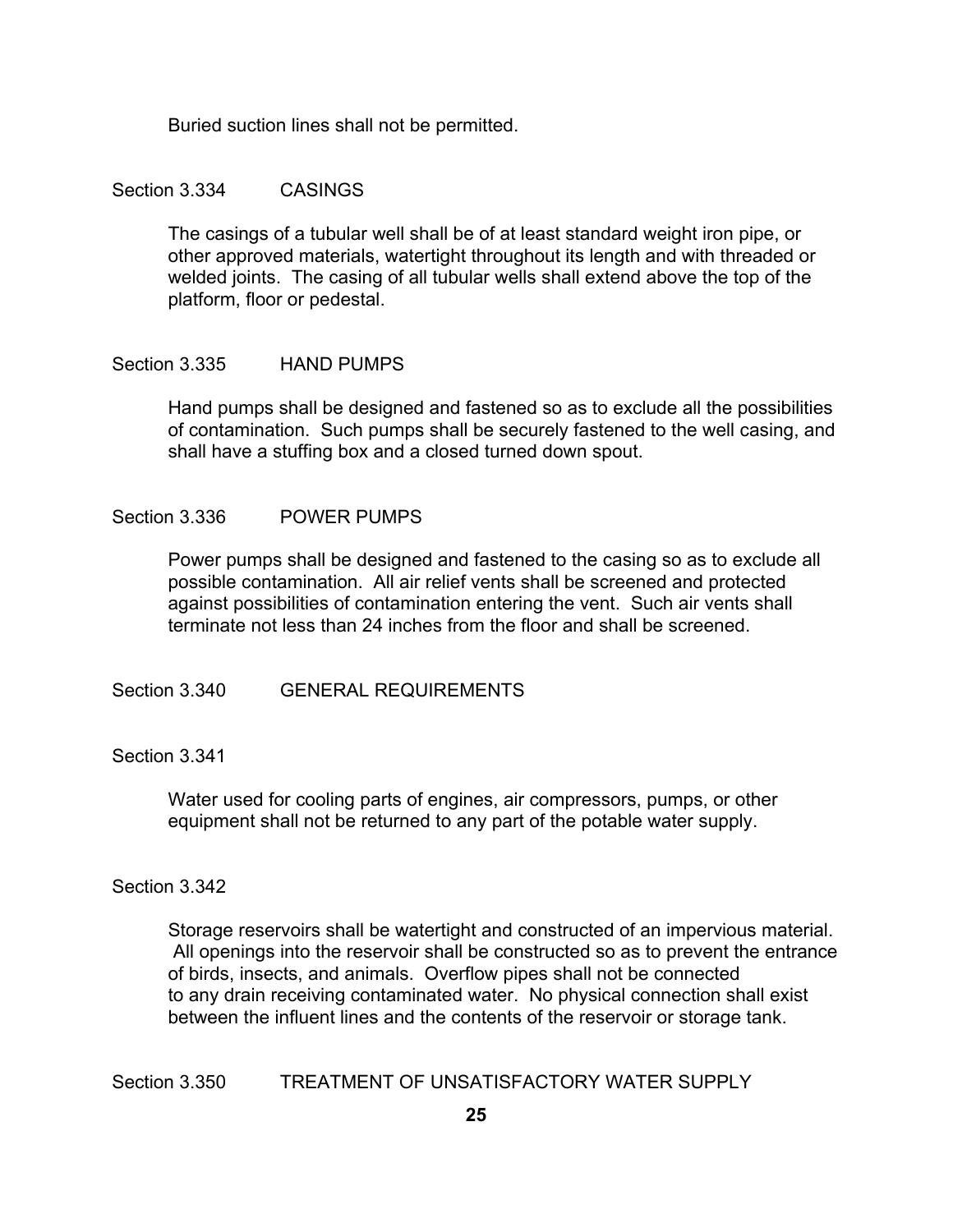Buried suction lines shall not be permitted.

### Section 3.334 CASINGS

The casings of a tubular well shall be of at least standard weight iron pipe, or other approved materials, watertight throughout its length and with threaded or welded joints. The casing of all tubular wells shall extend above the top of the platform, floor or pedestal.

### Section 3.335 HAND PUMPS

Hand pumps shall be designed and fastened so as to exclude all the possibilities of contamination. Such pumps shall be securely fastened to the well casing, and shall have a stuffing box and a closed turned down spout.

### Section 3.336 POWER PUMPS

Power pumps shall be designed and fastened to the casing so as to exclude all possible contamination. All air relief vents shall be screened and protected against possibilities of contamination entering the vent. Such air vents shall terminate not less than 24 inches from the floor and shall be screened.

Section 3.340 GENERAL REQUIREMENTS

Section 3.341

Water used for cooling parts of engines, air compressors, pumps, or other equipment shall not be returned to any part of the potable water supply.

#### Section 3.342

Storage reservoirs shall be watertight and constructed of an impervious material. All openings into the reservoir shall be constructed so as to prevent the entrance of birds, insects, and animals. Overflow pipes shall not be connected to any drain receiving contaminated water. No physical connection shall exist between the influent lines and the contents of the reservoir or storage tank.

Section 3.350 TREATMENT OF UNSATISFACTORY WATER SUPPLY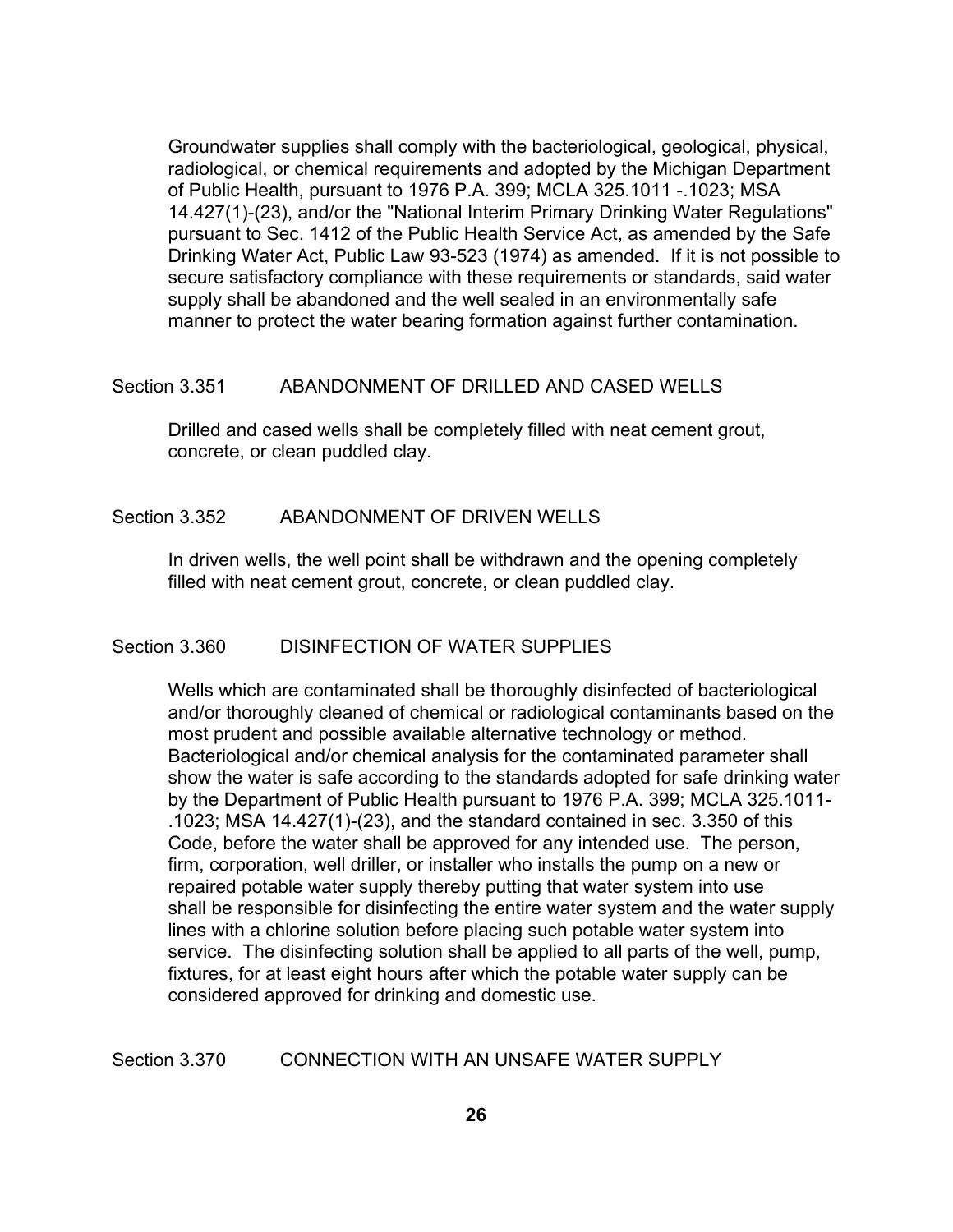Groundwater supplies shall comply with the bacteriological, geological, physical, radiological, or chemical requirements and adopted by the Michigan Department of Public Health, pursuant to 1976 P.A. 399; MCLA 325.1011 -.1023; MSA 14.427(1)-(23), and/or the "National Interim Primary Drinking Water Regulations" pursuant to Sec. 1412 of the Public Health Service Act, as amended by the Safe Drinking Water Act, Public Law 93-523 (1974) as amended. If it is not possible to secure satisfactory compliance with these requirements or standards, said water supply shall be abandoned and the well sealed in an environmentally safe manner to protect the water bearing formation against further contamination.

### Section 3.351 ABANDONMENT OF DRILLED AND CASED WELLS

Drilled and cased wells shall be completely filled with neat cement grout, concrete, or clean puddled clay.

### Section 3.352 ABANDONMENT OF DRIVEN WELLS

In driven wells, the well point shall be withdrawn and the opening completely filled with neat cement grout, concrete, or clean puddled clay.

#### Section 3.360 DISINFECTION OF WATER SUPPLIES

Wells which are contaminated shall be thoroughly disinfected of bacteriological and/or thoroughly cleaned of chemical or radiological contaminants based on the most prudent and possible available alternative technology or method. Bacteriological and/or chemical analysis for the contaminated parameter shall show the water is safe according to the standards adopted for safe drinking water by the Department of Public Health pursuant to 1976 P.A. 399; MCLA 325.1011- .1023; MSA 14.427(1)-(23), and the standard contained in sec. 3.350 of this Code, before the water shall be approved for any intended use. The person, firm, corporation, well driller, or installer who installs the pump on a new or repaired potable water supply thereby putting that water system into use shall be responsible for disinfecting the entire water system and the water supply lines with a chlorine solution before placing such potable water system into service. The disinfecting solution shall be applied to all parts of the well, pump, fixtures, for at least eight hours after which the potable water supply can be considered approved for drinking and domestic use.

# Section 3.370 CONNECTION WITH AN UNSAFE WATER SUPPLY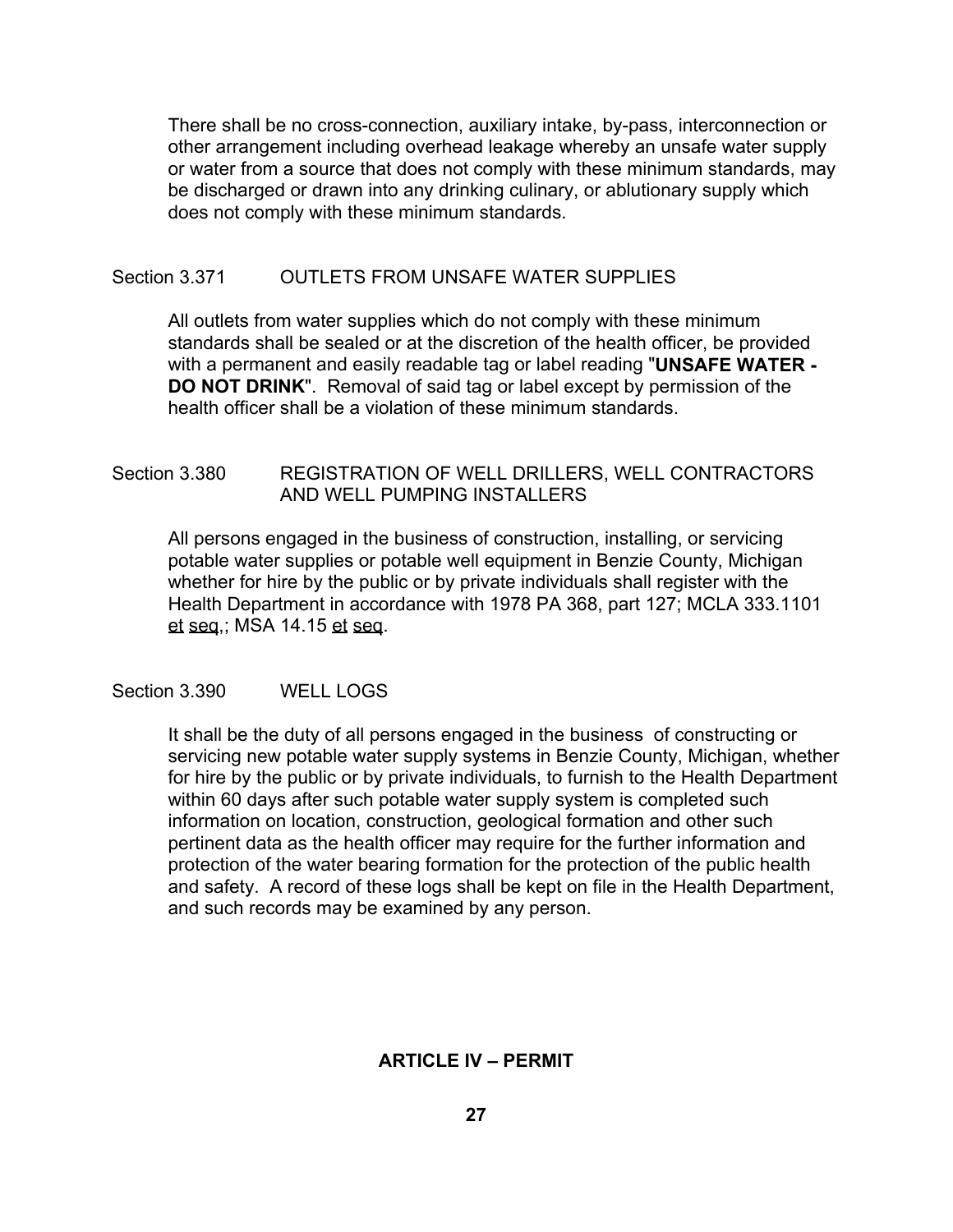There shall be no cross-connection, auxiliary intake, by-pass, interconnection or other arrangement including overhead leakage whereby an unsafe water supply or water from a source that does not comply with these minimum standards, may be discharged or drawn into any drinking culinary, or ablutionary supply which does not comply with these minimum standards.

# Section 3.371 OUTLETS FROM UNSAFE WATER SUPPLIES

All outlets from water supplies which do not comply with these minimum standards shall be sealed or at the discretion of the health officer, be provided with a permanent and easily readable tag or label reading "**UNSAFE WATER - DO NOT DRINK**". Removal of said tag or label except by permission of the health officer shall be a violation of these minimum standards.

# Section 3.380 REGISTRATION OF WELL DRILLERS, WELL CONTRACTORS AND WELL PUMPING INSTALLERS

All persons engaged in the business of construction, installing, or servicing potable water supplies or potable well equipment in Benzie County, Michigan whether for hire by the public or by private individuals shall register with the Health Department in accordance with 1978 PA 368, part 127; MCLA 333.1101 et seq,; MSA 14.15 et seq.

Section 3.390 WELL LOGS

It shall be the duty of all persons engaged in the business of constructing or servicing new potable water supply systems in Benzie County, Michigan, whether for hire by the public or by private individuals, to furnish to the Health Department within 60 days after such potable water supply system is completed such information on location, construction, geological formation and other such pertinent data as the health officer may require for the further information and protection of the water bearing formation for the protection of the public health and safety. A record of these logs shall be kept on file in the Health Department, and such records may be examined by any person.

# **ARTICLE IV – PERMIT**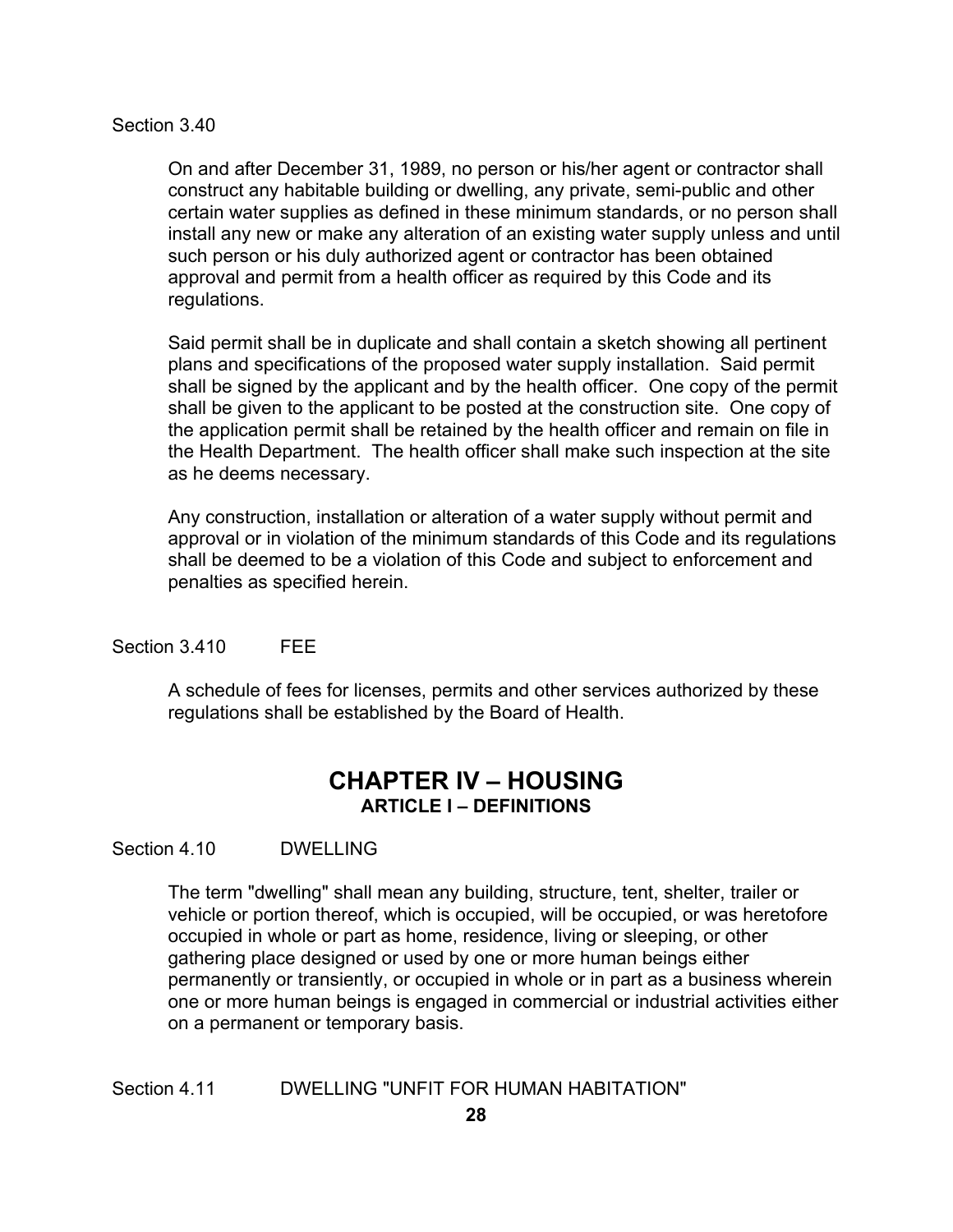### Section 3.40

On and after December 31, 1989, no person or his/her agent or contractor shall construct any habitable building or dwelling, any private, semi-public and other certain water supplies as defined in these minimum standards, or no person shall install any new or make any alteration of an existing water supply unless and until such person or his duly authorized agent or contractor has been obtained approval and permit from a health officer as required by this Code and its regulations.

Said permit shall be in duplicate and shall contain a sketch showing all pertinent plans and specifications of the proposed water supply installation. Said permit shall be signed by the applicant and by the health officer. One copy of the permit shall be given to the applicant to be posted at the construction site. One copy of the application permit shall be retained by the health officer and remain on file in the Health Department. The health officer shall make such inspection at the site as he deems necessary.

Any construction, installation or alteration of a water supply without permit and approval or in violation of the minimum standards of this Code and its regulations shall be deemed to be a violation of this Code and subject to enforcement and penalties as specified herein.

# Section 3.410 FFF

A schedule of fees for licenses, permits and other services authorized by these regulations shall be established by the Board of Health.

# **CHAPTER IV – HOUSING ARTICLE I – DEFINITIONS**

Section 4.10 DWELLING

The term "dwelling" shall mean any building, structure, tent, shelter, trailer or vehicle or portion thereof, which is occupied, will be occupied, or was heretofore occupied in whole or part as home, residence, living or sleeping, or other gathering place designed or used by one or more human beings either permanently or transiently, or occupied in whole or in part as a business wherein one or more human beings is engaged in commercial or industrial activities either on a permanent or temporary basis.

Section 4.11 DWELLING "UNFIT FOR HUMAN HABITATION"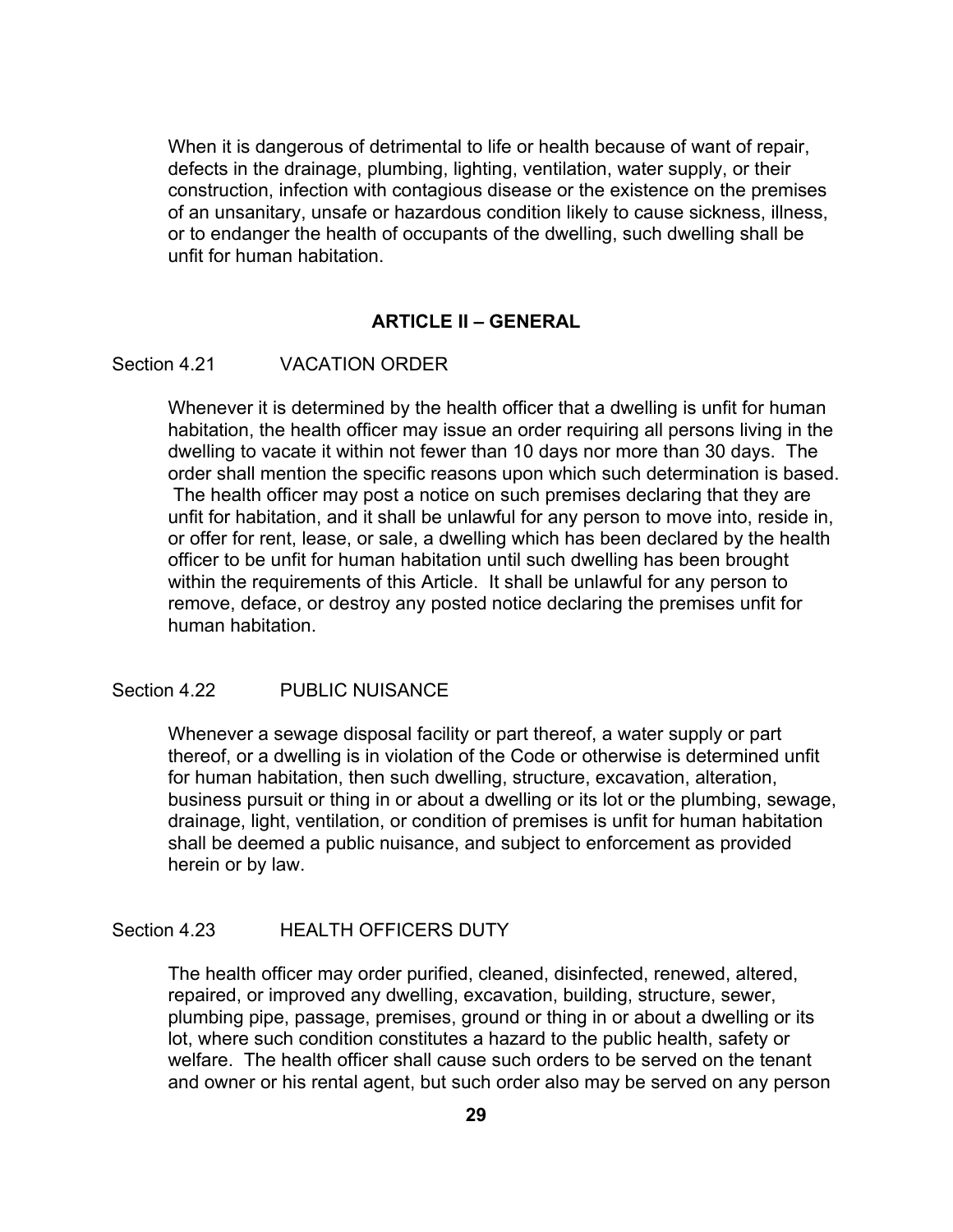When it is dangerous of detrimental to life or health because of want of repair, defects in the drainage, plumbing, lighting, ventilation, water supply, or their construction, infection with contagious disease or the existence on the premises of an unsanitary, unsafe or hazardous condition likely to cause sickness, illness, or to endanger the health of occupants of the dwelling, such dwelling shall be unfit for human habitation.

# **ARTICLE II – GENERAL**

### Section 4.21 VACATION ORDER

Whenever it is determined by the health officer that a dwelling is unfit for human habitation, the health officer may issue an order requiring all persons living in the dwelling to vacate it within not fewer than 10 days nor more than 30 days. The order shall mention the specific reasons upon which such determination is based. The health officer may post a notice on such premises declaring that they are unfit for habitation, and it shall be unlawful for any person to move into, reside in, or offer for rent, lease, or sale, a dwelling which has been declared by the health officer to be unfit for human habitation until such dwelling has been brought within the requirements of this Article. It shall be unlawful for any person to remove, deface, or destroy any posted notice declaring the premises unfit for human habitation.

#### Section 4.22 PUBLIC NUISANCE

Whenever a sewage disposal facility or part thereof, a water supply or part thereof, or a dwelling is in violation of the Code or otherwise is determined unfit for human habitation, then such dwelling, structure, excavation, alteration, business pursuit or thing in or about a dwelling or its lot or the plumbing, sewage, drainage, light, ventilation, or condition of premises is unfit for human habitation shall be deemed a public nuisance, and subject to enforcement as provided herein or by law.

# Section 4.23 **HEALTH OFFICERS DUTY**

The health officer may order purified, cleaned, disinfected, renewed, altered, repaired, or improved any dwelling, excavation, building, structure, sewer, plumbing pipe, passage, premises, ground or thing in or about a dwelling or its lot, where such condition constitutes a hazard to the public health, safety or welfare. The health officer shall cause such orders to be served on the tenant and owner or his rental agent, but such order also may be served on any person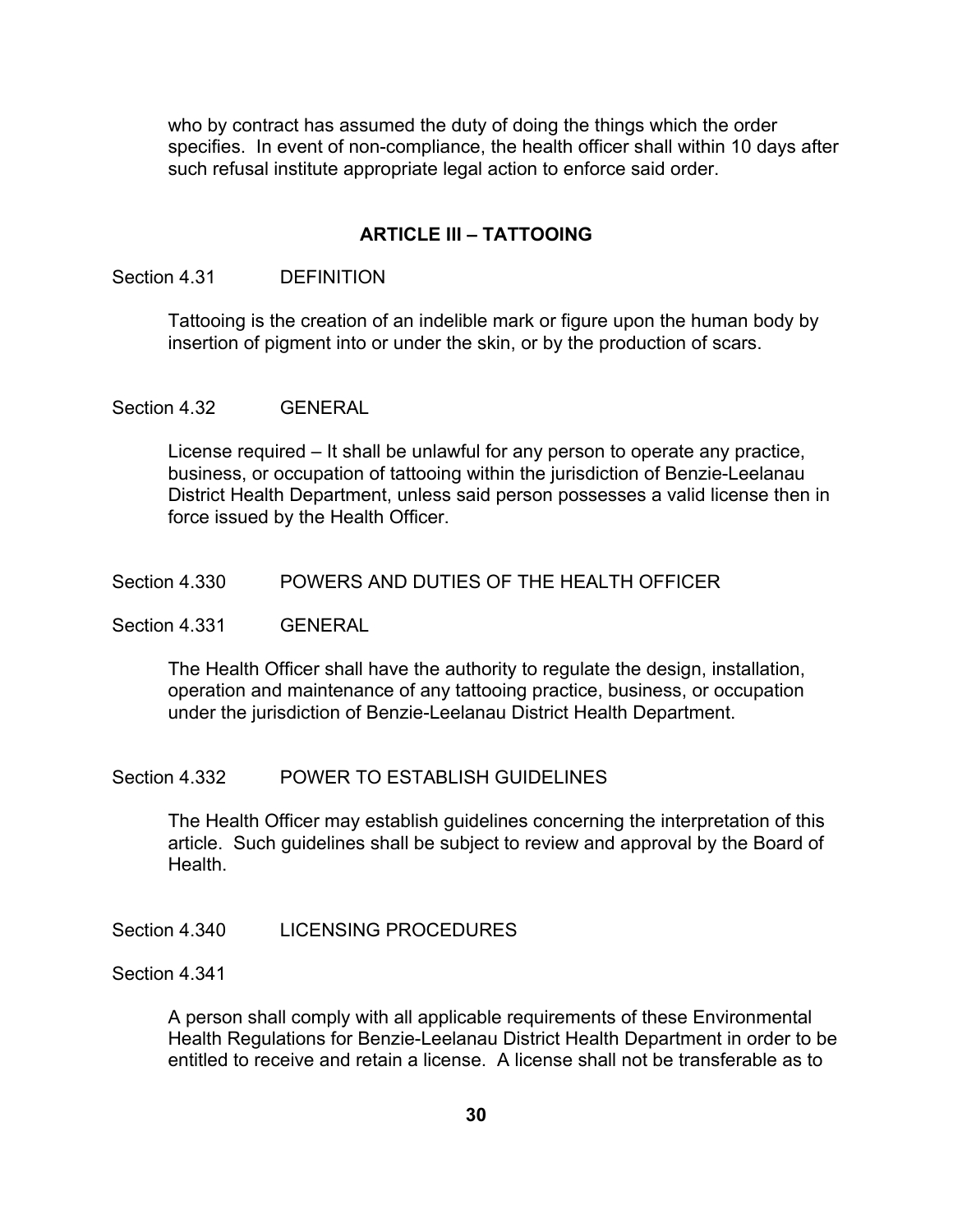who by contract has assumed the duty of doing the things which the order specifies. In event of non-compliance, the health officer shall within 10 days after such refusal institute appropriate legal action to enforce said order.

### **ARTICLE III – TATTOOING**

# Section 4.31 DEFINITION

Tattooing is the creation of an indelible mark or figure upon the human body by insertion of pigment into or under the skin, or by the production of scars.

#### Section 4.32 GENERAL

License required – It shall be unlawful for any person to operate any practice, business, or occupation of tattooing within the jurisdiction of Benzie-Leelanau District Health Department, unless said person possesses a valid license then in force issued by the Health Officer.

## Section 4.330 POWERS AND DUTIES OF THE HEALTH OFFICER

Section 4.331 GENERAL

The Health Officer shall have the authority to regulate the design, installation, operation and maintenance of any tattooing practice, business, or occupation under the jurisdiction of Benzie-Leelanau District Health Department.

#### Section 4.332 POWER TO ESTABLISH GUIDELINES

The Health Officer may establish guidelines concerning the interpretation of this article. Such guidelines shall be subject to review and approval by the Board of Health.

# Section 4.340 LICENSING PROCEDURES

Section 4.341

A person shall comply with all applicable requirements of these Environmental Health Regulations for Benzie-Leelanau District Health Department in order to be entitled to receive and retain a license. A license shall not be transferable as to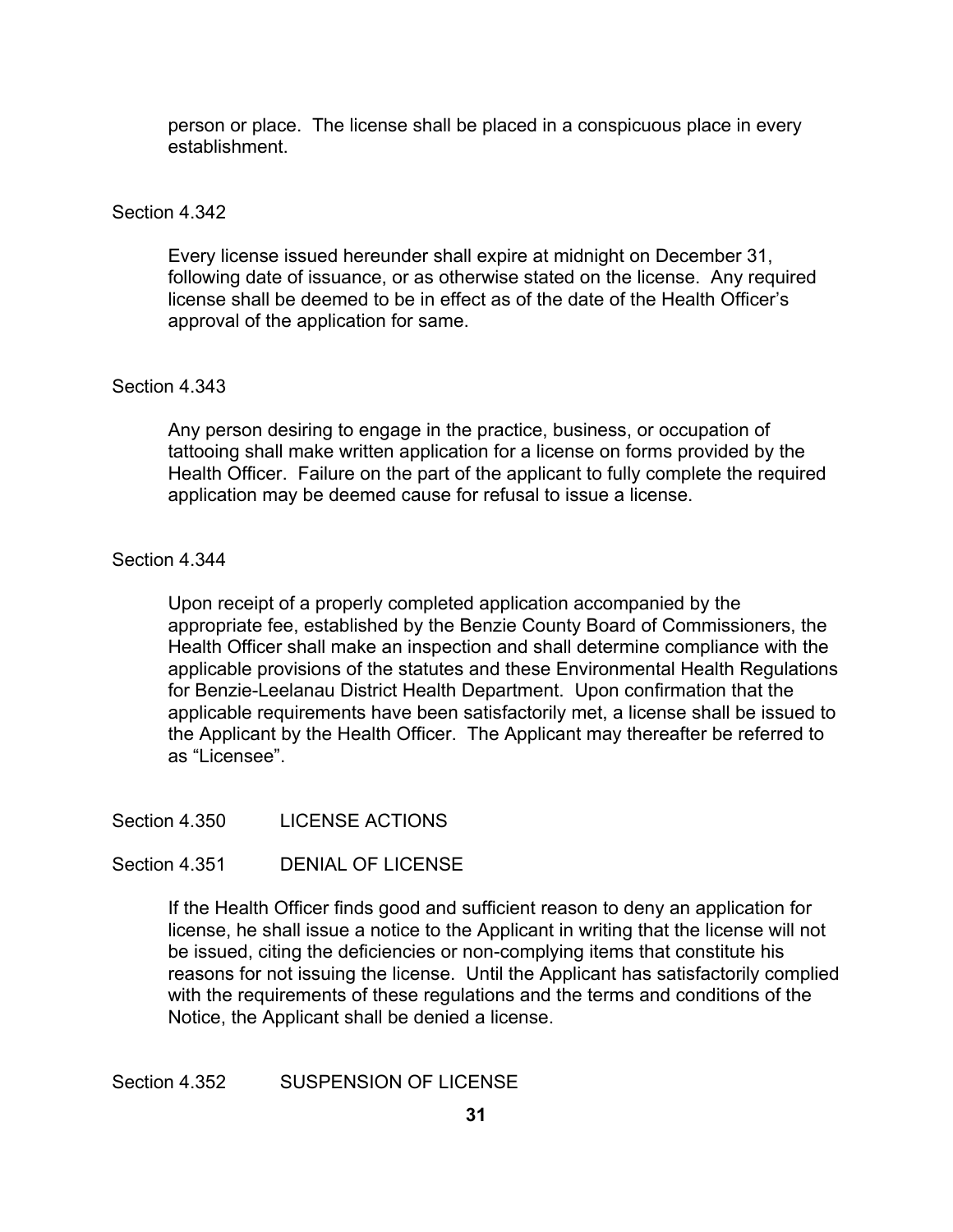person or place. The license shall be placed in a conspicuous place in every establishment.

### Section 4.342

Every license issued hereunder shall expire at midnight on December 31, following date of issuance, or as otherwise stated on the license. Any required license shall be deemed to be in effect as of the date of the Health Officer's approval of the application for same.

# Section 4.343

Any person desiring to engage in the practice, business, or occupation of tattooing shall make written application for a license on forms provided by the Health Officer. Failure on the part of the applicant to fully complete the required application may be deemed cause for refusal to issue a license.

#### Section 4.344

Upon receipt of a properly completed application accompanied by the appropriate fee, established by the Benzie County Board of Commissioners, the Health Officer shall make an inspection and shall determine compliance with the applicable provisions of the statutes and these Environmental Health Regulations for Benzie-Leelanau District Health Department. Upon confirmation that the applicable requirements have been satisfactorily met, a license shall be issued to the Applicant by the Health Officer. The Applicant may thereafter be referred to as "Licensee".

Section 4.350 LICENSE ACTIONS

Section 4.351 DENIAL OF LICENSE

If the Health Officer finds good and sufficient reason to deny an application for license, he shall issue a notice to the Applicant in writing that the license will not be issued, citing the deficiencies or non-complying items that constitute his reasons for not issuing the license. Until the Applicant has satisfactorily complied with the requirements of these regulations and the terms and conditions of the Notice, the Applicant shall be denied a license.

Section 4.352 SUSPENSION OF LICENSE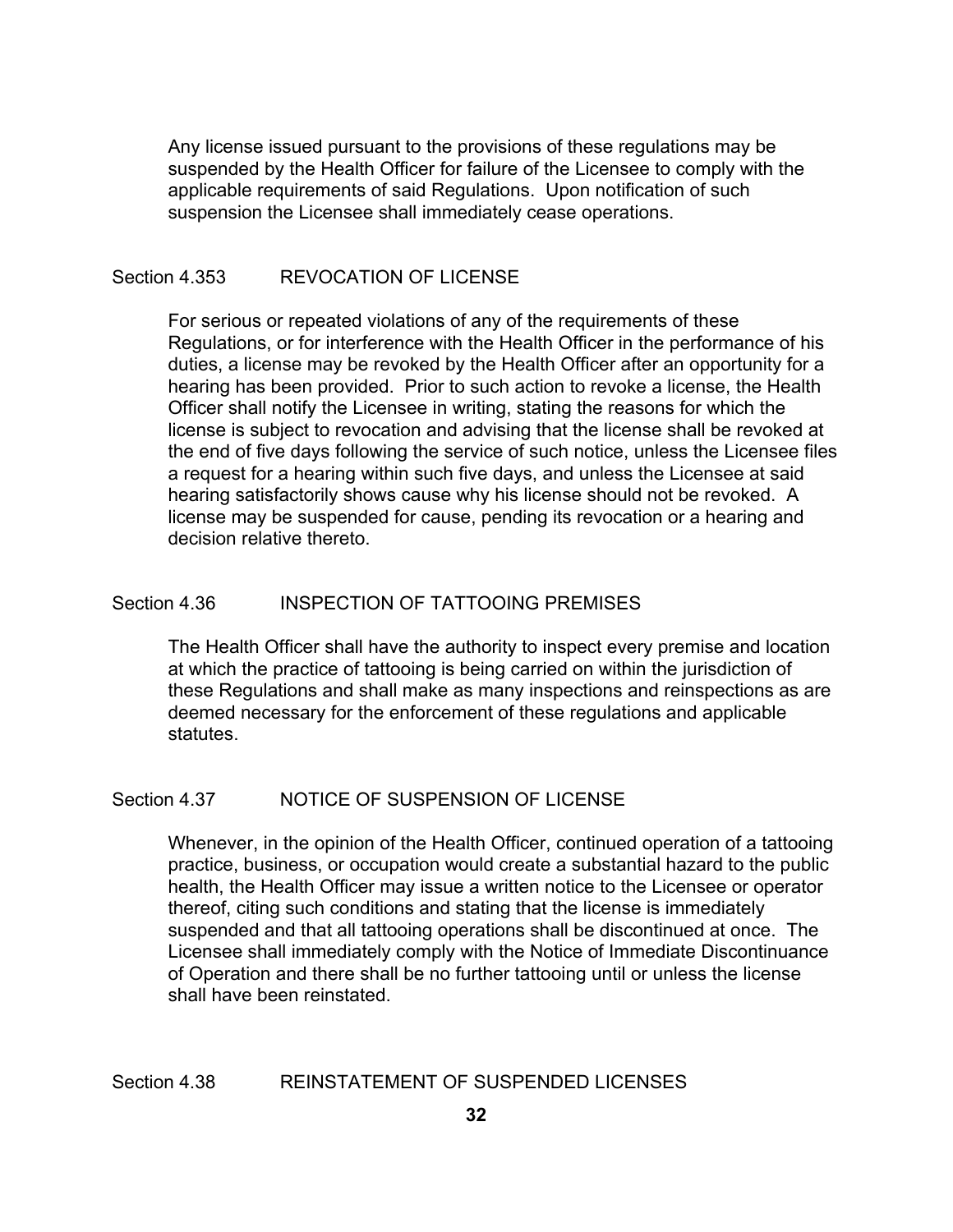Any license issued pursuant to the provisions of these regulations may be suspended by the Health Officer for failure of the Licensee to comply with the applicable requirements of said Regulations. Upon notification of such suspension the Licensee shall immediately cease operations.

# Section 4.353 REVOCATION OF LICENSE

For serious or repeated violations of any of the requirements of these Regulations, or for interference with the Health Officer in the performance of his duties, a license may be revoked by the Health Officer after an opportunity for a hearing has been provided. Prior to such action to revoke a license, the Health Officer shall notify the Licensee in writing, stating the reasons for which the license is subject to revocation and advising that the license shall be revoked at the end of five days following the service of such notice, unless the Licensee files a request for a hearing within such five days, and unless the Licensee at said hearing satisfactorily shows cause why his license should not be revoked. A license may be suspended for cause, pending its revocation or a hearing and decision relative thereto.

# Section 4.36 INSPECTION OF TATTOOING PREMISES

The Health Officer shall have the authority to inspect every premise and location at which the practice of tattooing is being carried on within the jurisdiction of these Regulations and shall make as many inspections and reinspections as are deemed necessary for the enforcement of these regulations and applicable statutes.

### Section 4.37 NOTICE OF SUSPENSION OF LICENSE

Whenever, in the opinion of the Health Officer, continued operation of a tattooing practice, business, or occupation would create a substantial hazard to the public health, the Health Officer may issue a written notice to the Licensee or operator thereof, citing such conditions and stating that the license is immediately suspended and that all tattooing operations shall be discontinued at once. The Licensee shall immediately comply with the Notice of Immediate Discontinuance of Operation and there shall be no further tattooing until or unless the license shall have been reinstated.

## Section 4.38 REINSTATEMENT OF SUSPENDED LICENSES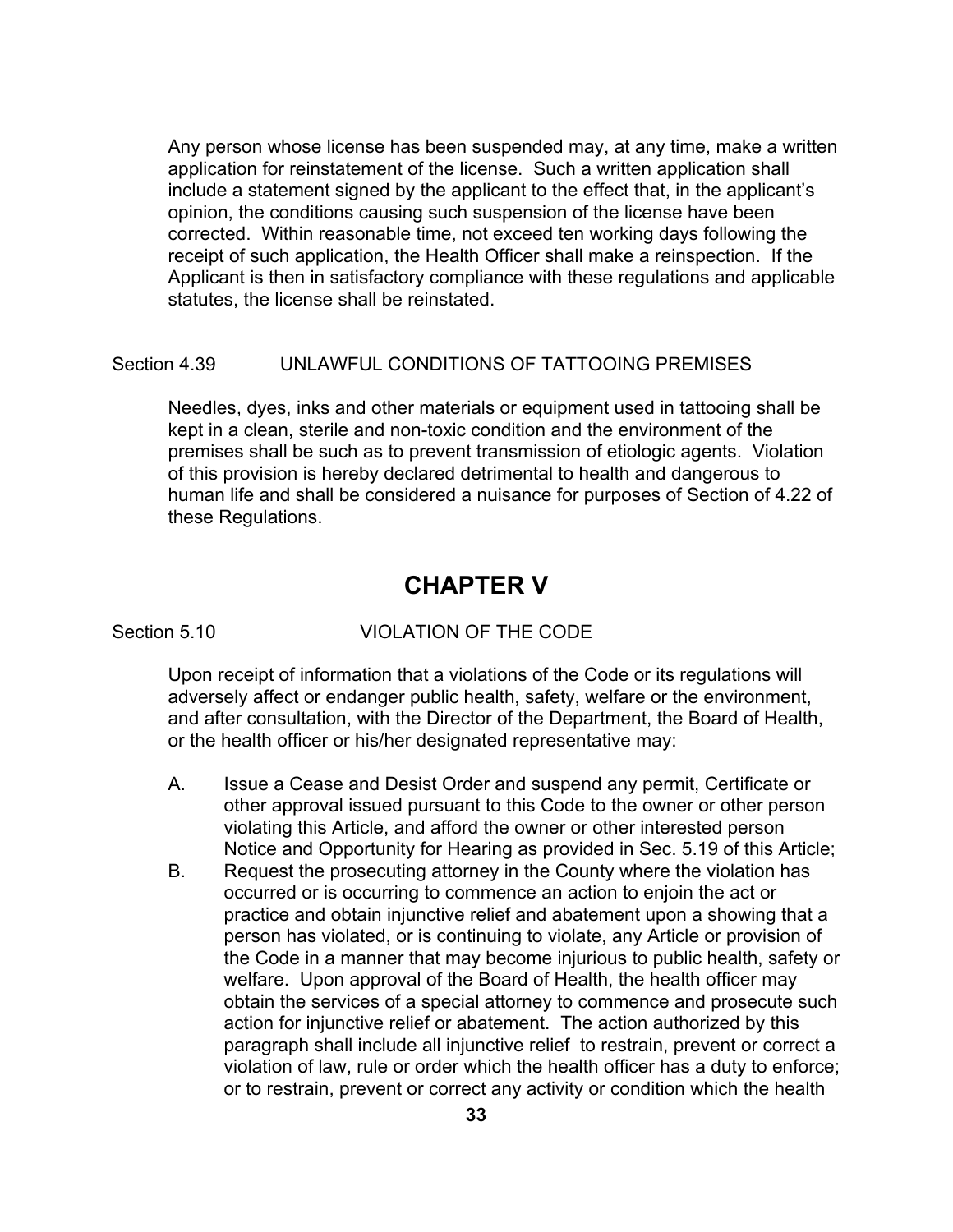Any person whose license has been suspended may, at any time, make a written application for reinstatement of the license. Such a written application shall include a statement signed by the applicant to the effect that, in the applicant's opinion, the conditions causing such suspension of the license have been corrected. Within reasonable time, not exceed ten working days following the receipt of such application, the Health Officer shall make a reinspection. If the Applicant is then in satisfactory compliance with these regulations and applicable statutes, the license shall be reinstated.

### Section 4.39 UNLAWFUL CONDITIONS OF TATTOOING PREMISES

Needles, dyes, inks and other materials or equipment used in tattooing shall be kept in a clean, sterile and non-toxic condition and the environment of the premises shall be such as to prevent transmission of etiologic agents. Violation of this provision is hereby declared detrimental to health and dangerous to human life and shall be considered a nuisance for purposes of Section of 4.22 of these Regulations.

# **CHAPTER V**

### Section 5.10 VIOLATION OF THE CODE

Upon receipt of information that a violations of the Code or its regulations will adversely affect or endanger public health, safety, welfare or the environment, and after consultation, with the Director of the Department, the Board of Health, or the health officer or his/her designated representative may:

- A. Issue a Cease and Desist Order and suspend any permit, Certificate or other approval issued pursuant to this Code to the owner or other person violating this Article, and afford the owner or other interested person Notice and Opportunity for Hearing as provided in Sec. 5.19 of this Article;
- B. Request the prosecuting attorney in the County where the violation has occurred or is occurring to commence an action to enjoin the act or practice and obtain injunctive relief and abatement upon a showing that a person has violated, or is continuing to violate, any Article or provision of the Code in a manner that may become injurious to public health, safety or welfare. Upon approval of the Board of Health, the health officer may obtain the services of a special attorney to commence and prosecute such action for injunctive relief or abatement. The action authorized by this paragraph shall include all injunctive relief to restrain, prevent or correct a violation of law, rule or order which the health officer has a duty to enforce; or to restrain, prevent or correct any activity or condition which the health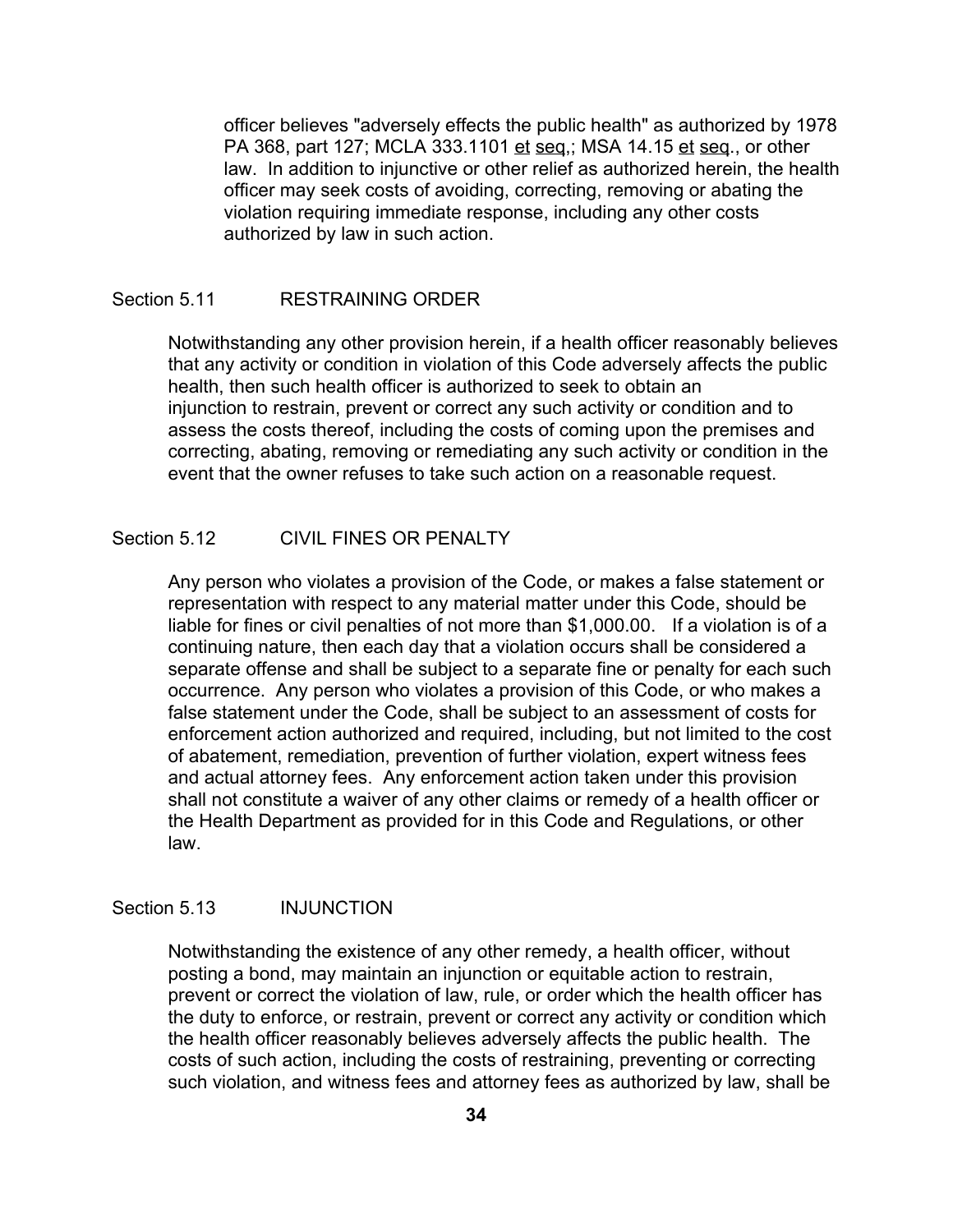officer believes "adversely effects the public health" as authorized by 1978 PA 368, part 127; MCLA 333.1101 et seq.; MSA 14.15 et seq., or other law. In addition to injunctive or other relief as authorized herein, the health officer may seek costs of avoiding, correcting, removing or abating the violation requiring immediate response, including any other costs authorized by law in such action.

# Section 5.11 RESTRAINING ORDER

Notwithstanding any other provision herein, if a health officer reasonably believes that any activity or condition in violation of this Code adversely affects the public health, then such health officer is authorized to seek to obtain an injunction to restrain, prevent or correct any such activity or condition and to assess the costs thereof, including the costs of coming upon the premises and correcting, abating, removing or remediating any such activity or condition in the event that the owner refuses to take such action on a reasonable request.

# Section 5.12 CIVIL FINES OR PENALTY

Any person who violates a provision of the Code, or makes a false statement or representation with respect to any material matter under this Code, should be liable for fines or civil penalties of not more than \$1,000.00. If a violation is of a continuing nature, then each day that a violation occurs shall be considered a separate offense and shall be subject to a separate fine or penalty for each such occurrence. Any person who violates a provision of this Code, or who makes a false statement under the Code, shall be subject to an assessment of costs for enforcement action authorized and required, including, but not limited to the cost of abatement, remediation, prevention of further violation, expert witness fees and actual attorney fees. Any enforcement action taken under this provision shall not constitute a waiver of any other claims or remedy of a health officer or the Health Department as provided for in this Code and Regulations, or other law.

#### Section 5.13 INJUNCTION

Notwithstanding the existence of any other remedy, a health officer, without posting a bond, may maintain an injunction or equitable action to restrain, prevent or correct the violation of law, rule, or order which the health officer has the duty to enforce, or restrain, prevent or correct any activity or condition which the health officer reasonably believes adversely affects the public health. The costs of such action, including the costs of restraining, preventing or correcting such violation, and witness fees and attorney fees as authorized by law, shall be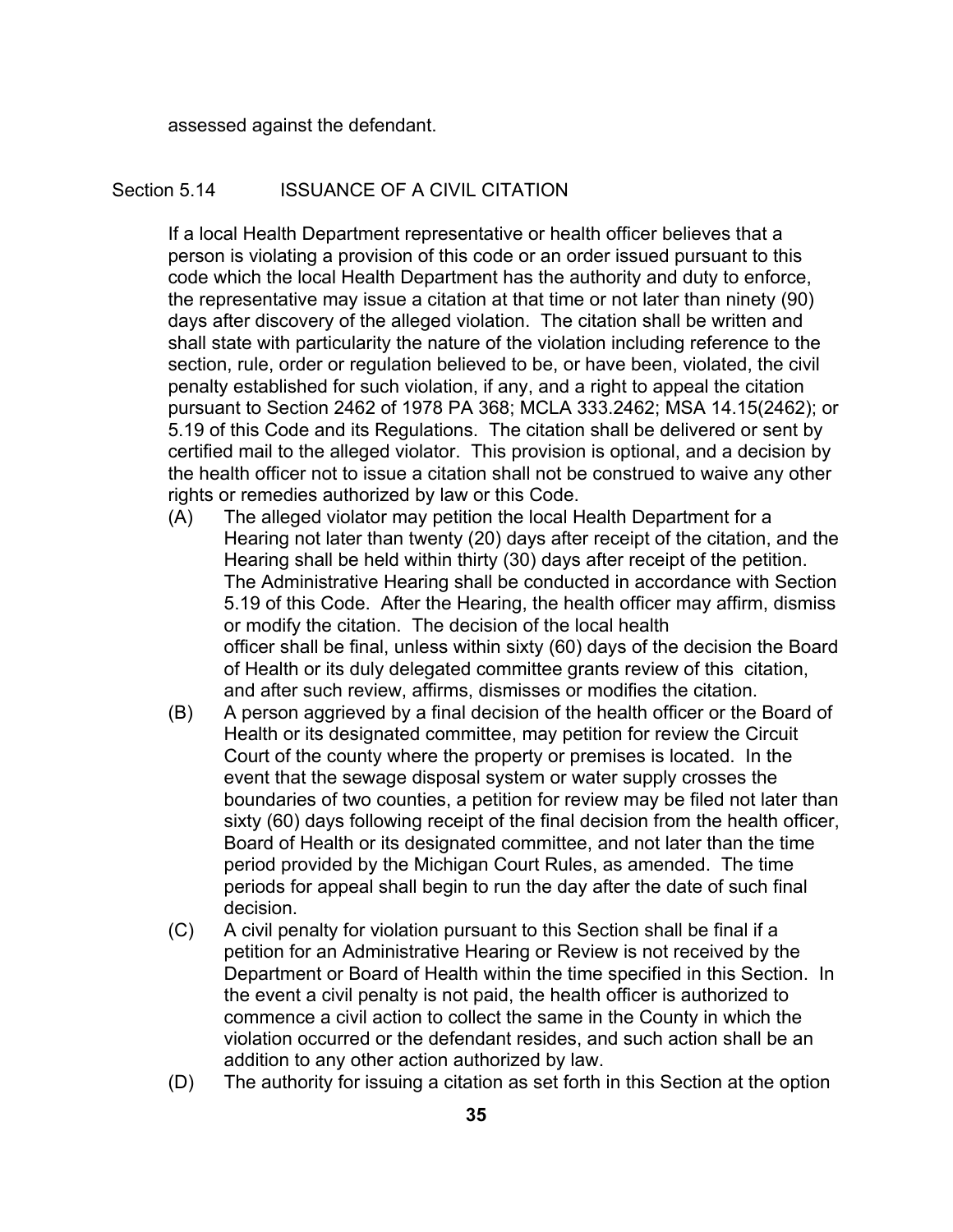assessed against the defendant.

### Section 5.14 **ISSUANCE OF A CIVIL CITATION**

If a local Health Department representative or health officer believes that a person is violating a provision of this code or an order issued pursuant to this code which the local Health Department has the authority and duty to enforce, the representative may issue a citation at that time or not later than ninety (90) days after discovery of the alleged violation. The citation shall be written and shall state with particularity the nature of the violation including reference to the section, rule, order or regulation believed to be, or have been, violated, the civil penalty established for such violation, if any, and a right to appeal the citation pursuant to Section 2462 of 1978 PA 368; MCLA 333.2462; MSA 14.15(2462); or 5.19 of this Code and its Regulations. The citation shall be delivered or sent by certified mail to the alleged violator. This provision is optional, and a decision by the health officer not to issue a citation shall not be construed to waive any other rights or remedies authorized by law or this Code.

- (A) The alleged violator may petition the local Health Department for a Hearing not later than twenty (20) days after receipt of the citation, and the Hearing shall be held within thirty (30) days after receipt of the petition. The Administrative Hearing shall be conducted in accordance with Section 5.19 of this Code. After the Hearing, the health officer may affirm, dismiss or modify the citation. The decision of the local health officer shall be final, unless within sixty (60) days of the decision the Board of Health or its duly delegated committee grants review of this citation, and after such review, affirms, dismisses or modifies the citation.
- (B) A person aggrieved by a final decision of the health officer or the Board of Health or its designated committee, may petition for review the Circuit Court of the county where the property or premises is located. In the event that the sewage disposal system or water supply crosses the boundaries of two counties, a petition for review may be filed not later than sixty (60) days following receipt of the final decision from the health officer, Board of Health or its designated committee, and not later than the time period provided by the Michigan Court Rules, as amended. The time periods for appeal shall begin to run the day after the date of such final decision.
- (C) A civil penalty for violation pursuant to this Section shall be final if a petition for an Administrative Hearing or Review is not received by the Department or Board of Health within the time specified in this Section. In the event a civil penalty is not paid, the health officer is authorized to commence a civil action to collect the same in the County in which the violation occurred or the defendant resides, and such action shall be an addition to any other action authorized by law.
- (D) The authority for issuing a citation as set forth in this Section at the option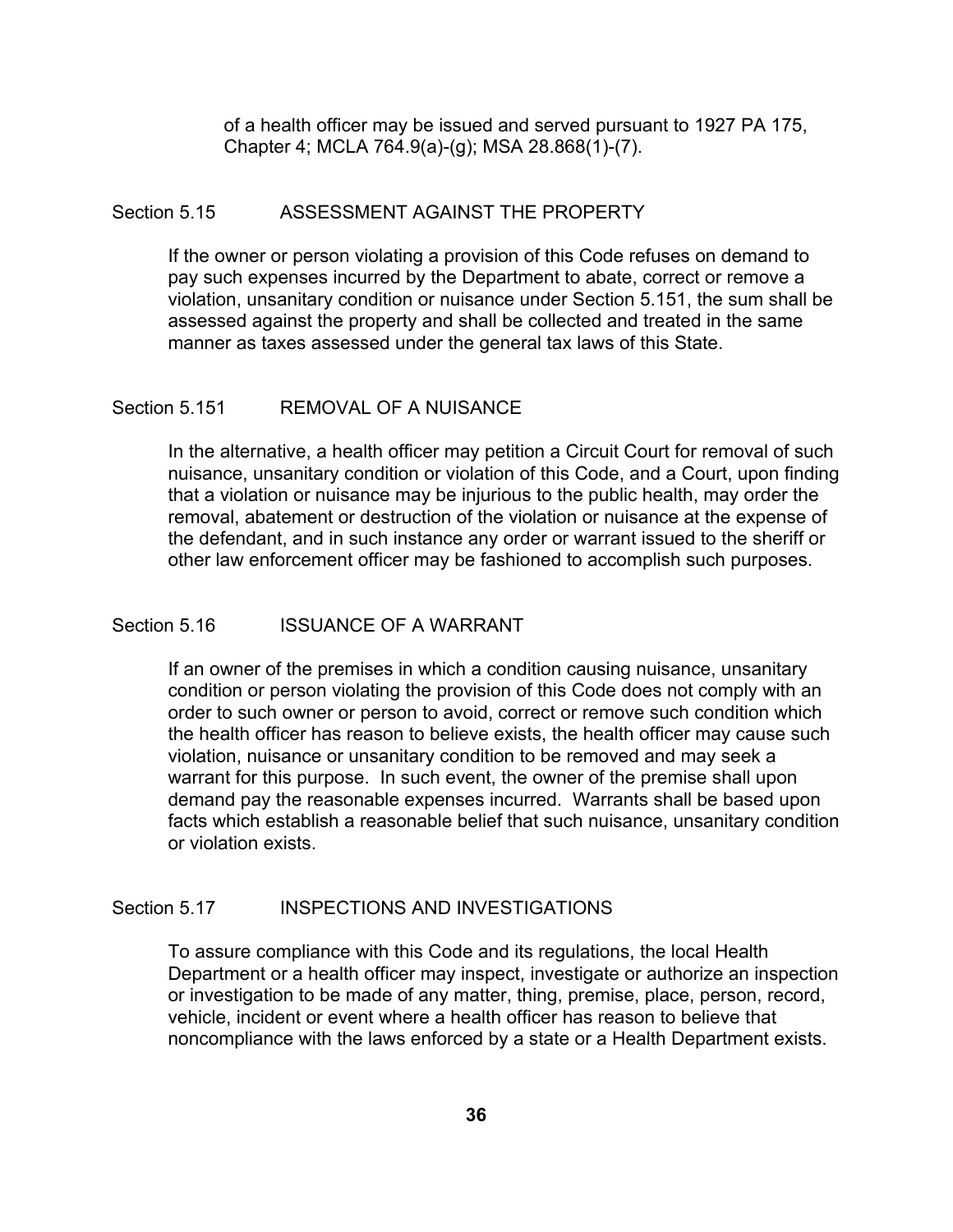of a health officer may be issued and served pursuant to 1927 PA 175, Chapter 4; MCLA 764.9(a)-(g); MSA 28.868(1)-(7).

### Section 5.15 ASSESSMENT AGAINST THE PROPERTY

If the owner or person violating a provision of this Code refuses on demand to pay such expenses incurred by the Department to abate, correct or remove a violation, unsanitary condition or nuisance under Section 5.151, the sum shall be assessed against the property and shall be collected and treated in the same manner as taxes assessed under the general tax laws of this State.

#### Section 5.151 REMOVAL OF A NUISANCE

In the alternative, a health officer may petition a Circuit Court for removal of such nuisance, unsanitary condition or violation of this Code, and a Court, upon finding that a violation or nuisance may be injurious to the public health, may order the removal, abatement or destruction of the violation or nuisance at the expense of the defendant, and in such instance any order or warrant issued to the sheriff or other law enforcement officer may be fashioned to accomplish such purposes.

#### Section 5.16 **ISSUANCE OF A WARRANT**

If an owner of the premises in which a condition causing nuisance, unsanitary condition or person violating the provision of this Code does not comply with an order to such owner or person to avoid, correct or remove such condition which the health officer has reason to believe exists, the health officer may cause such violation, nuisance or unsanitary condition to be removed and may seek a warrant for this purpose. In such event, the owner of the premise shall upon demand pay the reasonable expenses incurred. Warrants shall be based upon facts which establish a reasonable belief that such nuisance, unsanitary condition or violation exists.

## Section 5.17 **INSPECTIONS AND INVESTIGATIONS**

To assure compliance with this Code and its regulations, the local Health Department or a health officer may inspect, investigate or authorize an inspection or investigation to be made of any matter, thing, premise, place, person, record, vehicle, incident or event where a health officer has reason to believe that noncompliance with the laws enforced by a state or a Health Department exists.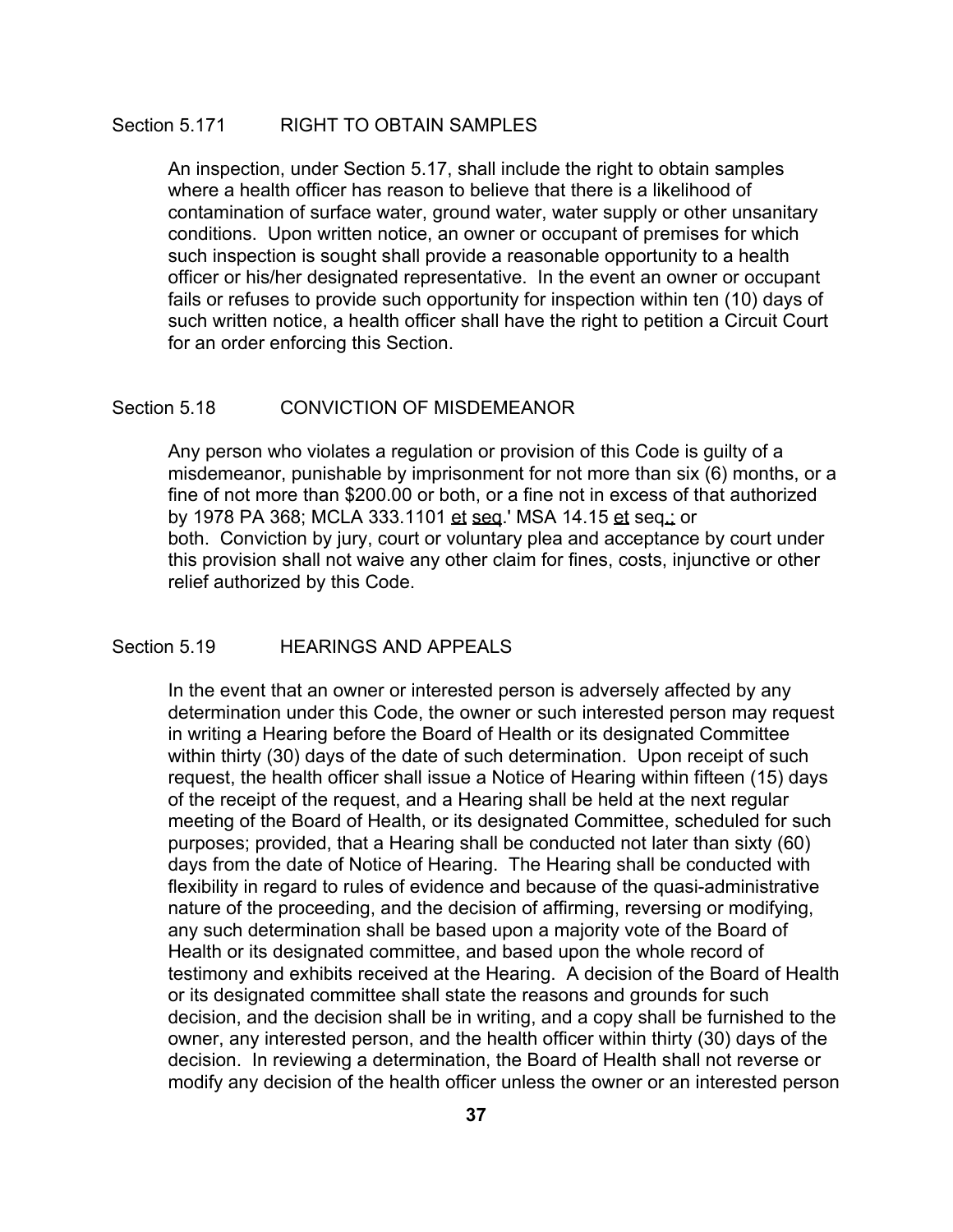### Section 5.171 RIGHT TO OBTAIN SAMPLES

An inspection, under Section 5.17, shall include the right to obtain samples where a health officer has reason to believe that there is a likelihood of contamination of surface water, ground water, water supply or other unsanitary conditions. Upon written notice, an owner or occupant of premises for which such inspection is sought shall provide a reasonable opportunity to a health officer or his/her designated representative. In the event an owner or occupant fails or refuses to provide such opportunity for inspection within ten (10) days of such written notice, a health officer shall have the right to petition a Circuit Court for an order enforcing this Section.

#### Section 5.18 CONVICTION OF MISDEMEANOR

Any person who violates a regulation or provision of this Code is guilty of a misdemeanor, punishable by imprisonment for not more than six (6) months, or a fine of not more than \$200.00 or both, or a fine not in excess of that authorized by 1978 PA 368; MCLA 333.1101 et seq.' MSA 14.15 et seq.; or both. Conviction by jury, court or voluntary plea and acceptance by court under this provision shall not waive any other claim for fines, costs, injunctive or other relief authorized by this Code.

### Section 5.19 **HEARINGS AND APPEALS**

In the event that an owner or interested person is adversely affected by any determination under this Code, the owner or such interested person may request in writing a Hearing before the Board of Health or its designated Committee within thirty (30) days of the date of such determination. Upon receipt of such request, the health officer shall issue a Notice of Hearing within fifteen (15) days of the receipt of the request, and a Hearing shall be held at the next regular meeting of the Board of Health, or its designated Committee, scheduled for such purposes; provided, that a Hearing shall be conducted not later than sixty (60) days from the date of Notice of Hearing. The Hearing shall be conducted with flexibility in regard to rules of evidence and because of the quasi-administrative nature of the proceeding, and the decision of affirming, reversing or modifying, any such determination shall be based upon a majority vote of the Board of Health or its designated committee, and based upon the whole record of testimony and exhibits received at the Hearing. A decision of the Board of Health or its designated committee shall state the reasons and grounds for such decision, and the decision shall be in writing, and a copy shall be furnished to the owner, any interested person, and the health officer within thirty (30) days of the decision. In reviewing a determination, the Board of Health shall not reverse or modify any decision of the health officer unless the owner or an interested person